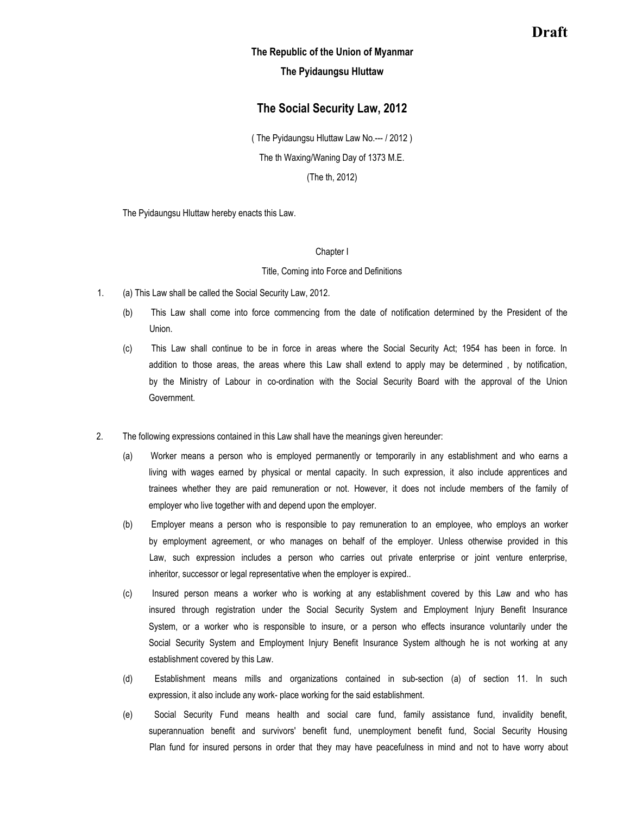# **Draft**

## **The Republic of the Union of Myanmar**

## **The Pyidaungsu Hluttaw**

## **The Social Security Law, 2012**

( The Pyidaungsu Hluttaw Law No.--- / 2012 ) The th Waxing/Waning Day of 1373 M.E.

(The th, 2012)

The Pyidaungsu Hluttaw hereby enacts this Law.

#### Chapter I

#### Title, Coming into Force and Definitions

- 1. (a) This Law shall be called the Social Security Law, 2012.
	- (b) This Law shall come into force commencing from the date of notification determined by the President of the Union.
	- (c) This Law shall continue to be in force in areas where the Social Security Act; 1954 has been in force. In addition to those areas, the areas where this Law shall extend to apply may be determined , by notification, by the Ministry of Labour in co-ordination with the Social Security Board with the approval of the Union Government.
- 2. The following expressions contained in this Law shall have the meanings given hereunder:
	- (a) Worker means a person who is employed permanently or temporarily in any establishment and who earns a living with wages earned by physical or mental capacity. In such expression, it also include apprentices and trainees whether they are paid remuneration or not. However, it does not include members of the family of employer who live together with and depend upon the employer.
	- (b) Employer means a person who is responsible to pay remuneration to an employee, who employs an worker by employment agreement, or who manages on behalf of the employer. Unless otherwise provided in this Law, such expression includes a person who carries out private enterprise or joint venture enterprise, inheritor, successor or legal representative when the employer is expired..
	- (c) Insured person means a worker who is working at any establishment covered by this Law and who has insured through registration under the Social Security System and Employment Injury Benefit Insurance System, or a worker who is responsible to insure, or a person who effects insurance voluntarily under the Social Security System and Employment Injury Benefit Insurance System although he is not working at any establishment covered by this Law.
	- (d) Establishment means mills and organizations contained in sub-section (a) of section 11. In such expression, it also include any work- place working for the said establishment.
	- (e) Social Security Fund means health and social care fund, family assistance fund, invalidity benefit, superannuation benefit and survivors' benefit fund, unemployment benefit fund, Social Security Housing Plan fund for insured persons in order that they may have peacefulness in mind and not to have worry about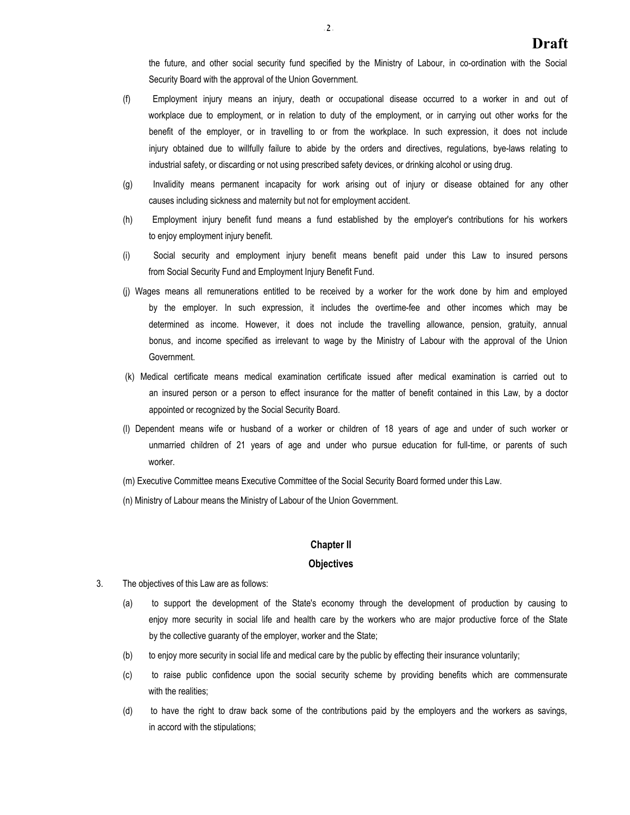the future, and other social security fund specified by the Ministry of Labour, in co-ordination with the Social Security Board with the approval of the Union Government.

- (f) Employment injury means an injury, death or occupational disease occurred to a worker in and out of workplace due to employment, or in relation to duty of the employment, or in carrying out other works for the benefit of the employer, or in travelling to or from the workplace. In such expression, it does not include injury obtained due to willfully failure to abide by the orders and directives, regulations, bye-laws relating to industrial safety, or discarding or not using prescribed safety devices, or drinking alcohol or using drug.
- (g) Invalidity means permanent incapacity for work arising out of injury or disease obtained for any other causes including sickness and maternity but not for employment accident.
- (h) Employment injury benefit fund means a fund established by the employer's contributions for his workers to enjoy employment injury benefit.
- (i) Social security and employment injury benefit means benefit paid under this Law to insured persons from Social Security Fund and Employment Injury Benefit Fund.
- (j) Wages means all remunerations entitled to be received by a worker for the work done by him and employed by the employer. In such expression, it includes the overtime-fee and other incomes which may be determined as income. However, it does not include the travelling allowance, pension, gratuity, annual bonus, and income specified as irrelevant to wage by the Ministry of Labour with the approval of the Union Government.
- (k) Medical certificate means medical examination certificate issued after medical examination is carried out to an insured person or a person to effect insurance for the matter of benefit contained in this Law, by a doctor appointed or recognized by the Social Security Board.
- (l) Dependent means wife or husband of a worker or children of 18 years of age and under of such worker or unmarried children of 21 years of age and under who pursue education for full-time, or parents of such worker.
- (m) Executive Committee means Executive Committee of the Social Security Board formed under this Law.
- (n) Ministry of Labour means the Ministry of Labour of the Union Government.

## **Chapter II**

## **Objectives**

- 3. The objectives of this Law are as follows:
	- (a) to support the development of the State's economy through the development of production by causing to enjoy more security in social life and health care by the workers who are major productive force of the State by the collective guaranty of the employer, worker and the State;
	- (b) to enjoy more security in social life and medical care by the public by effecting their insurance voluntarily;
	- (c) to raise public confidence upon the social security scheme by providing benefits which are commensurate with the realities;
	- (d) to have the right to draw back some of the contributions paid by the employers and the workers as savings, in accord with the stipulations;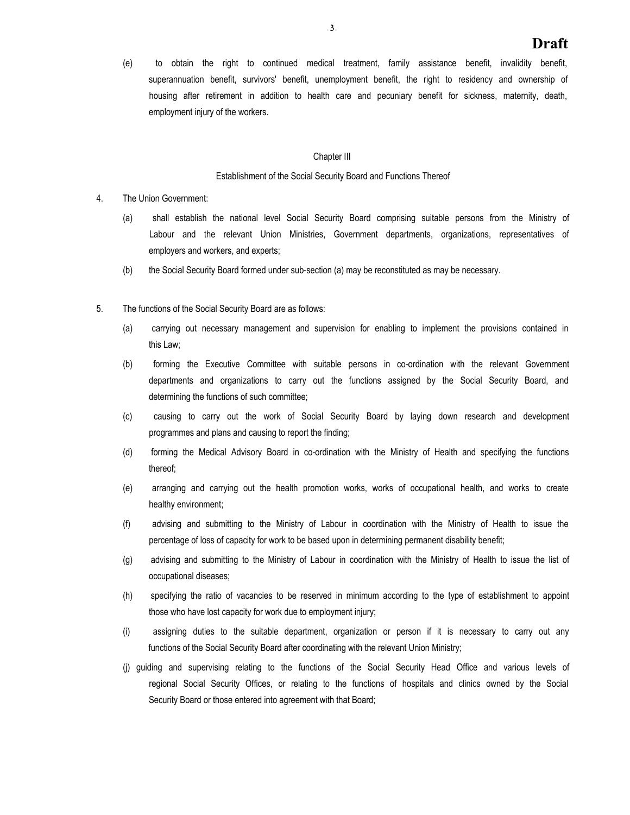(e) to obtain the right to continued medical treatment, family assistance benefit, invalidity benefit, superannuation benefit, survivors' benefit, unemployment benefit, the right to residency and ownership of housing after retirement in addition to health care and pecuniary benefit for sickness, maternity, death, employment injury of the workers.

#### Chapter III

#### Establishment of the Social Security Board and Functions Thereof

- 4. The Union Government:
	- (a) shall establish the national level Social Security Board comprising suitable persons from the Ministry of Labour and the relevant Union Ministries, Government departments, organizations, representatives of employers and workers, and experts;
	- (b) the Social Security Board formed under sub-section (a) may be reconstituted as may be necessary.
- 5. The functions of the Social Security Board are as follows:
	- (a) carrying out necessary management and supervision for enabling to implement the provisions contained in this Law;
	- (b) forming the Executive Committee with suitable persons in co-ordination with the relevant Government departments and organizations to carry out the functions assigned by the Social Security Board, and determining the functions of such committee;
	- (c) causing to carry out the work of Social Security Board by laying down research and development programmes and plans and causing to report the finding;
	- (d) forming the Medical Advisory Board in co-ordination with the Ministry of Health and specifying the functions thereof;
	- (e) arranging and carrying out the health promotion works, works of occupational health, and works to create healthy environment;
	- (f) advising and submitting to the Ministry of Labour in coordination with the Ministry of Health to issue the percentage of loss of capacity for work to be based upon in determining permanent disability benefit;
	- (g) advising and submitting to the Ministry of Labour in coordination with the Ministry of Health to issue the list of occupational diseases;
	- (h) specifying the ratio of vacancies to be reserved in minimum according to the type of establishment to appoint those who have lost capacity for work due to employment injury;
	- (i) assigning duties to the suitable department, organization or person if it is necessary to carry out any functions of the Social Security Board after coordinating with the relevant Union Ministry;
	- (j) guiding and supervising relating to the functions of the Social Security Head Office and various levels of regional Social Security Offices, or relating to the functions of hospitals and clinics owned by the Social Security Board or those entered into agreement with that Board;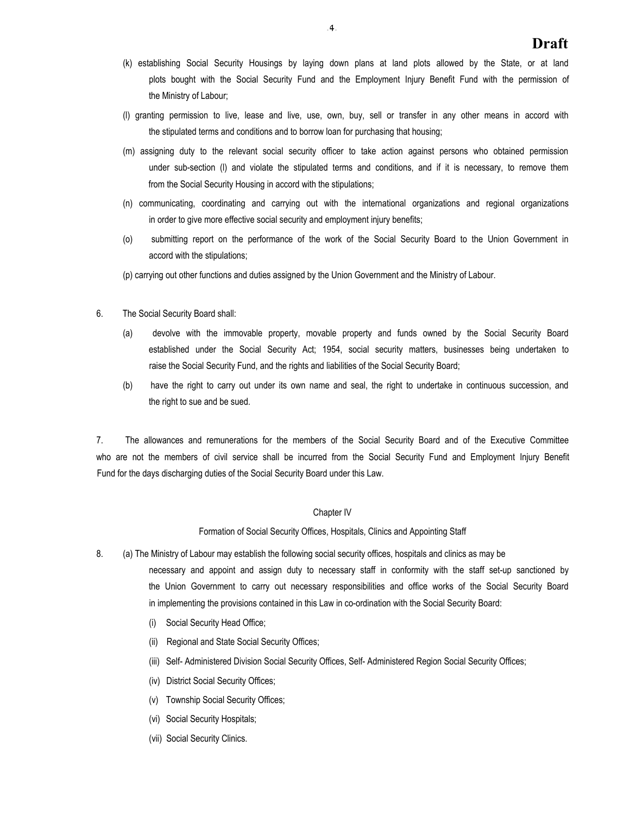- (k) establishing Social Security Housings by laying down plans at land plots allowed by the State, or at land plots bought with the Social Security Fund and the Employment Injury Benefit Fund with the permission of the Ministry of Labour;
- (l) granting permission to live, lease and live, use, own, buy, sell or transfer in any other means in accord with the stipulated terms and conditions and to borrow loan for purchasing that housing;
- (m) assigning duty to the relevant social security officer to take action against persons who obtained permission under sub-section (l) and violate the stipulated terms and conditions, and if it is necessary, to remove them from the Social Security Housing in accord with the stipulations;
- (n) communicating, coordinating and carrying out with the international organizations and regional organizations in order to give more effective social security and employment injury benefits;
- (o) submitting report on the performance of the work of the Social Security Board to the Union Government in accord with the stipulations;

(p) carrying out other functions and duties assigned by the Union Government and the Ministry of Labour.

- 6. The Social Security Board shall:
	- (a) devolve with the immovable property, movable property and funds owned by the Social Security Board established under the Social Security Act; 1954, social security matters, businesses being undertaken to raise the Social Security Fund, and the rights and liabilities of the Social Security Board;
	- (b) have the right to carry out under its own name and seal, the right to undertake in continuous succession, and the right to sue and be sued.

7. The allowances and remunerations for the members of the Social Security Board and of the Executive Committee who are not the members of civil service shall be incurred from the Social Security Fund and Employment Injury Benefit Fund for the days discharging duties of the Social Security Board under this Law.

## Chapter IV

Formation of Social Security Offices, Hospitals, Clinics and Appointing Staff

8. (a) The Ministry of Labour may establish the following social security offices, hospitals and clinics as may be

necessary and appoint and assign duty to necessary staff in conformity with the staff set-up sanctioned by the Union Government to carry out necessary responsibilities and office works of the Social Security Board in implementing the provisions contained in this Law in co-ordination with the Social Security Board:

- (i) Social Security Head Office;
- (ii) Regional and State Social Security Offices;
- (iii) Self- Administered Division Social Security Offices, Self- Administered Region Social Security Offices;
- (iv) District Social Security Offices;
- (v) Township Social Security Offices;
- (vi) Social Security Hospitals;
- (vii) Social Security Clinics.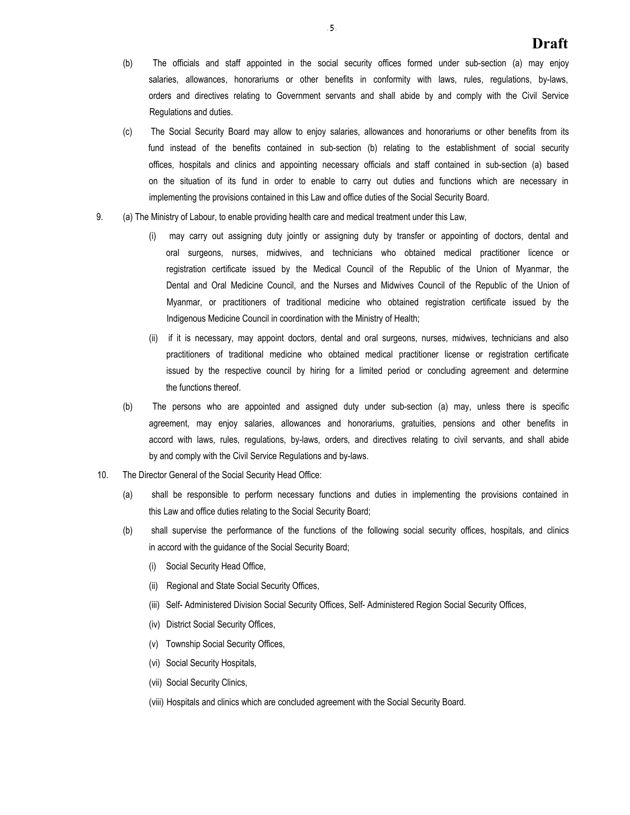- (b) The officials and staff appointed in the social security offices formed under sub-section (a) may enjoy salaries, allowances, honorariums or other benefits in conformity with laws, rules, regulations, by-laws, orders and directives relating to Government servants and shall abide by and comply with the Civil Service Regulations and duties.
- (c) The Social Security Board may allow to enjoy salaries, allowances and honorariums or other benefits from its fund instead of the benefits contained in sub-section (b) relating to the establishment of social security offices, hospitals and clinics and appointing necessary officials and staff contained in sub-section (a) based on the situation of its fund in order to enable to carry out duties and functions which are necessary in implementing the provisions contained in this Law and office duties of the Social Security Board.
- 9. (a) The Ministry of Labour, to enable providing health care and medical treatment under this Law,
	- (i) may carry out assigning duty jointly or assigning duty by transfer or appointing of doctors, dental and oral surgeons, nurses, midwives, and technicians who obtained medical practitioner licence or registration certificate issued by the Medical Council of the Republic of the Union of Myanmar, the Dental and Oral Medicine Council, and the Nurses and Midwives Council of the Republic of the Union of Myanmar, or practitioners of traditional medicine who obtained registration certificate issued by the Indigenous Medicine Council in coordination with the Ministry of Health;
	- (ii) if it is necessary, may appoint doctors, dental and oral surgeons, nurses, midwives, technicians and also practitioners of traditional medicine who obtained medical practitioner license or registration certificate issued by the respective council by hiring for a limited period or concluding agreement and determine the functions thereof.
	- (b) The persons who are appointed and assigned duty under sub-section (a) may, unless there is specific agreement, may enjoy salaries, allowances and honorariums, gratuities, pensions and other benefits in accord with laws, rules, regulations, by-laws, orders, and directives relating to civil servants, and shall abide by and comply with the Civil Service Regulations and by-laws.
- 10. The Director General of the Social Security Head Office:
	- (a) shall be responsible to perform necessary functions and duties in implementing the provisions contained in this Law and office duties relating to the Social Security Board;
	- (b) shall supervise the performance of the functions of the following social security offices, hospitals, and clinics in accord with the guidance of the Social Security Board;
		- (i) Social Security Head Office,
		- (ii) Regional and State Social Security Offices,
		- (iii) Self- Administered Division Social Security Offices, Self- Administered Region Social Security Offices,
		- (iv) District Social Security Offices,
		- (v) Township Social Security Offices,
		- (vi) Social Security Hospitals,
		- (vii) Social Security Clinics,
		- (viii) Hospitals and clinics which are concluded agreement with the Social Security Board.

 $5<sub>1</sub>$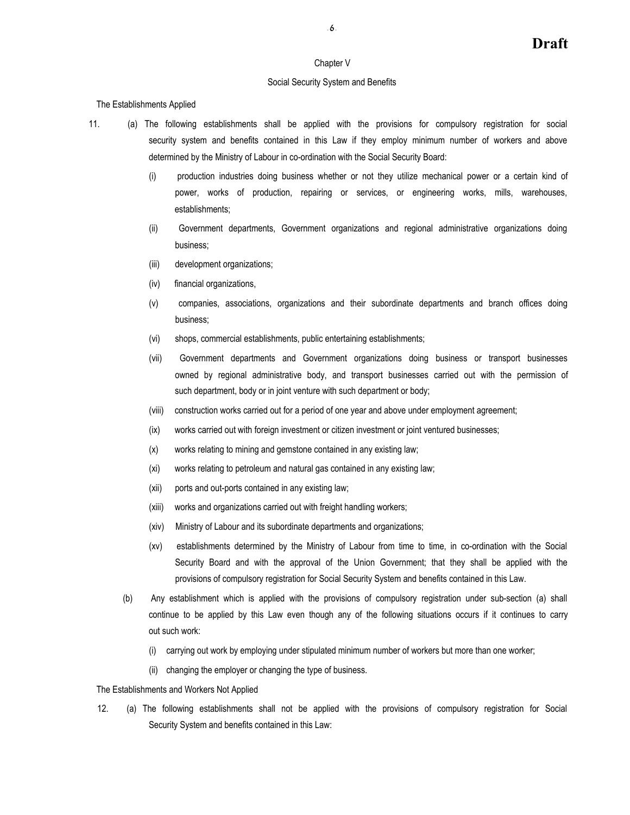#### Chapter V

## Social Security System and Benefits

The Establishments Applied

11. (a) The following establishments shall be applied with the provisions for compulsory registration for social security system and benefits contained in this Law if they employ minimum number of workers and above determined by the Ministry of Labour in co-ordination with the Social Security Board:

- (i) production industries doing business whether or not they utilize mechanical power or a certain kind of power, works of production, repairing or services, or engineering works, mills, warehouses, establishments;
- (ii) Government departments, Government organizations and regional administrative organizations doing business;
- (iii) development organizations;
- (iv) financial organizations,
- (v) companies, associations, organizations and their subordinate departments and branch offices doing business;
- (vi) shops, commercial establishments, public entertaining establishments;
- (vii) Government departments and Government organizations doing business or transport businesses owned by regional administrative body, and transport businesses carried out with the permission of such department, body or in joint venture with such department or body;
- (viii) construction works carried out for a period of one year and above under employment agreement;
- (ix) works carried out with foreign investment or citizen investment or joint ventured businesses;
- (x) works relating to mining and gemstone contained in any existing law;
- (xi) works relating to petroleum and natural gas contained in any existing law;
- (xii) ports and out-ports contained in any existing law;
- (xiii) works and organizations carried out with freight handling workers;
- (xiv) Ministry of Labour and its subordinate departments and organizations;
- (xv) establishments determined by the Ministry of Labour from time to time, in co-ordination with the Social Security Board and with the approval of the Union Government; that they shall be applied with the provisions of compulsory registration for Social Security System and benefits contained in this Law.
- (b) Any establishment which is applied with the provisions of compulsory registration under sub-section (a) shall continue to be applied by this Law even though any of the following situations occurs if it continues to carry out such work:
	- (i) carrying out work by employing under stipulated minimum number of workers but more than one worker;
	- (ii) changing the employer or changing the type of business.

## The Establishments and Workers Not Applied

12. (a) The following establishments shall not be applied with the provisions of compulsory registration for Social Security System and benefits contained in this Law: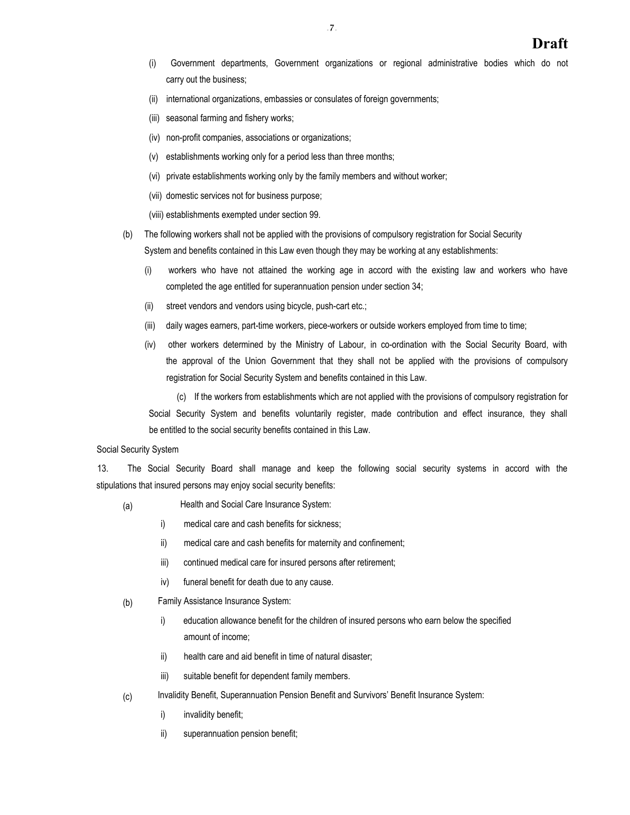- (i) Government departments, Government organizations or regional administrative bodies which do not carry out the business;
- (ii) international organizations, embassies or consulates of foreign governments;
- (iii) seasonal farming and fishery works;
- (iv) non-profit companies, associations or organizations;
- (v) establishments working only for a period less than three months;
- (vi) private establishments working only by the family members and without worker;
- (vii) domestic services not for business purpose;
- (viii) establishments exempted under section 99.
- (b) The following workers shall not be applied with the provisions of compulsory registration for Social Security System and benefits contained in this Law even though they may be working at any establishments:
	- (i) workers who have not attained the working age in accord with the existing law and workers who have completed the age entitled for superannuation pension under section 34;
	- (ii) street vendors and vendors using bicycle, push-cart etc.;
	- (iii) daily wages earners, part-time workers, piece-workers or outside workers employed from time to time;
	- (iv) other workers determined by the Ministry of Labour, in co-ordination with the Social Security Board, with the approval of the Union Government that they shall not be applied with the provisions of compulsory registration for Social Security System and benefits contained in this Law.

(c) If the workers from establishments which are not applied with the provisions of compulsory registration for Social Security System and benefits voluntarily register, made contribution and effect insurance, they shall be entitled to the social security benefits contained in this Law.

## Social Security System

13. The Social Security Board shall manage and keep the following social security systems in accord with the stipulations that insured persons may enjoy social security benefits:

- (a) Health and Social Care Insurance System:
	- i) medical care and cash benefits for sickness;
	- ii) medical care and cash benefits for maternity and confinement;
	- iii) continued medical care for insured persons after retirement;
	- iv) funeral benefit for death due to any cause.
- (b) Family Assistance Insurance System:
	- i) education allowance benefit for the children of insured persons who earn below the specified amount of income;
	- ii) health care and aid benefit in time of natural disaster;
	- iii) suitable benefit for dependent family members.
- (c) Invalidity Benefit, Superannuation Pension Benefit and Survivors' Benefit Insurance System:
	- i) invalidity benefit;
	- ii) superannuation pension benefit;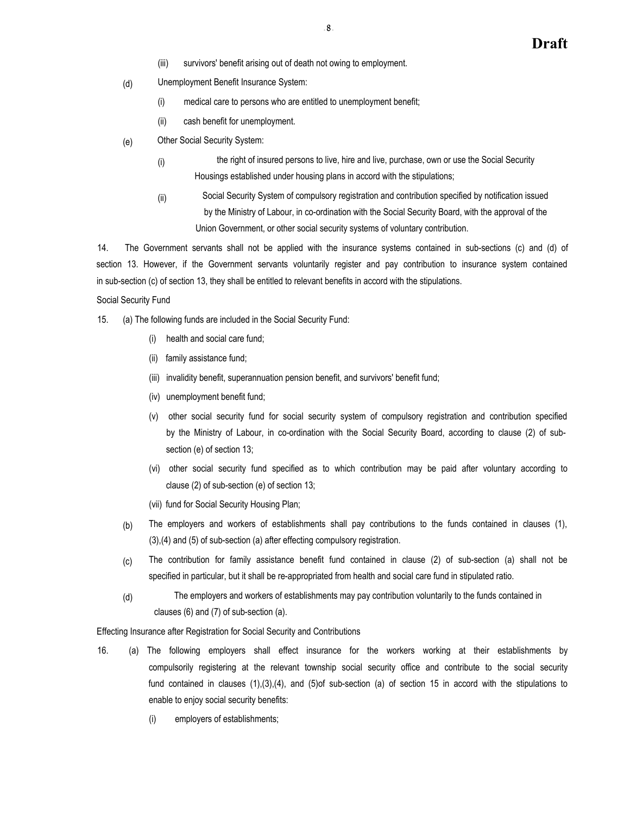- (iii) survivors' benefit arising out of death not owing to employment.
- (d) Unemployment Benefit Insurance System:
	- (i) medical care to persons who are entitled to unemployment benefit;
	- (ii) cash benefit for unemployment.
- (e) Other Social Security System:
	- (i) the right of insured persons to live, hire and live, purchase, own or use the Social Security Housings established under housing plans in accord with the stipulations;
	- (ii) Social Security System of compulsory registration and contribution specified by notification issued by the Ministry of Labour, in co-ordination with the Social Security Board, with the approval of the Union Government, or other social security systems of voluntary contribution.

14. The Government servants shall not be applied with the insurance systems contained in sub-sections (c) and (d) of section 13. However, if the Government servants voluntarily register and pay contribution to insurance system contained in sub-section (c) of section 13, they shall be entitled to relevant benefits in accord with the stipulations.

## Social Security Fund

- 15. (a) The following funds are included in the Social Security Fund:
	- (i) health and social care fund;
	- (ii) family assistance fund;
	- (iii) invalidity benefit, superannuation pension benefit, and survivors' benefit fund;
	- (iv) unemployment benefit fund;
	- (v) other social security fund for social security system of compulsory registration and contribution specified by the Ministry of Labour, in co-ordination with the Social Security Board, according to clause (2) of subsection (e) of section 13;
	- (vi) other social security fund specified as to which contribution may be paid after voluntary according to clause (2) of sub-section (e) of section 13;
	- (vii) fund for Social Security Housing Plan;
	- The employers and workers of establishments shall pay contributions to the funds contained in clauses (1), (3),(4) and (5) of sub-section (a) after effecting compulsory registration. (b)
	- The contribution for family assistance benefit fund contained in clause (2) of sub-section (a) shall not be specified in particular, but it shall be re-appropriated from health and social care fund in stipulated ratio. (c)
	- The employers and workers of establishments may pay contribution voluntarily to the funds contained in clauses (6) and (7) of sub-section (a). (d)

Effecting Insurance after Registration for Social Security and Contributions

- 16. (a) The following employers shall effect insurance for the workers working at their establishments by compulsorily registering at the relevant township social security office and contribute to the social security fund contained in clauses (1),(3),(4), and (5)of sub-section (a) of section 15 in accord with the stipulations to enable to enjoy social security benefits:
	- (i) employers of establishments;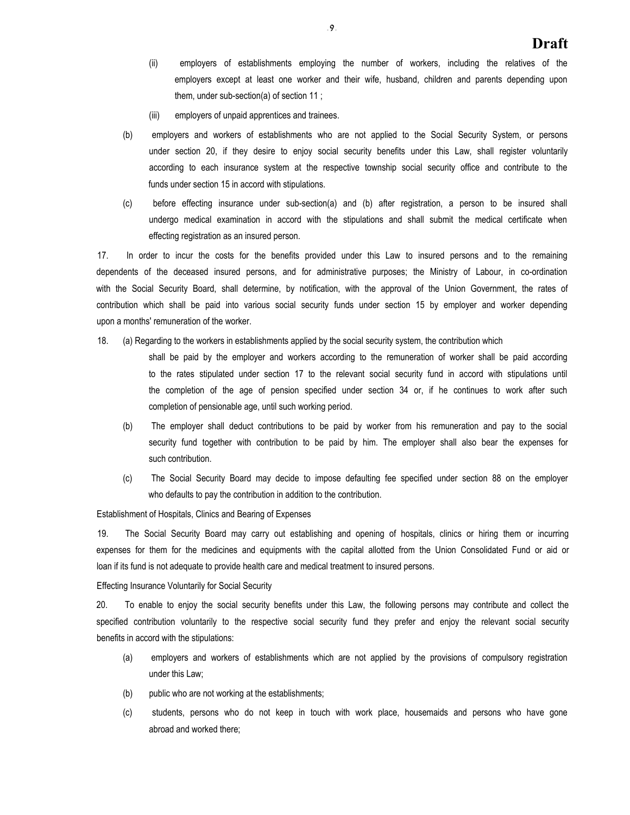- (ii) employers of establishments employing the number of workers, including the relatives of the employers except at least one worker and their wife, husband, children and parents depending upon them, under sub-section(a) of section 11 ;
- (iii) employers of unpaid apprentices and trainees.
- (b) employers and workers of establishments who are not applied to the Social Security System, or persons under section 20, if they desire to enjoy social security benefits under this Law, shall register voluntarily according to each insurance system at the respective township social security office and contribute to the funds under section 15 in accord with stipulations.
- (c) before effecting insurance under sub-section(a) and (b) after registration, a person to be insured shall undergo medical examination in accord with the stipulations and shall submit the medical certificate when effecting registration as an insured person.

17. In order to incur the costs for the benefits provided under this Law to insured persons and to the remaining dependents of the deceased insured persons, and for administrative purposes; the Ministry of Labour, in co-ordination with the Social Security Board, shall determine, by notification, with the approval of the Union Government, the rates of contribution which shall be paid into various social security funds under section 15 by employer and worker depending upon a months' remuneration of the worker.

18. (a) Regarding to the workers in establishments applied by the social security system, the contribution which

shall be paid by the employer and workers according to the remuneration of worker shall be paid according to the rates stipulated under section 17 to the relevant social security fund in accord with stipulations until the completion of the age of pension specified under section 34 or, if he continues to work after such completion of pensionable age, until such working period.

- (b) The employer shall deduct contributions to be paid by worker from his remuneration and pay to the social security fund together with contribution to be paid by him. The employer shall also bear the expenses for such contribution.
- (c) The Social Security Board may decide to impose defaulting fee specified under section 88 on the employer who defaults to pay the contribution in addition to the contribution.

Establishment of Hospitals, Clinics and Bearing of Expenses

19. The Social Security Board may carry out establishing and opening of hospitals, clinics or hiring them or incurring expenses for them for the medicines and equipments with the capital allotted from the Union Consolidated Fund or aid or loan if its fund is not adequate to provide health care and medical treatment to insured persons.

Effecting Insurance Voluntarily for Social Security

20. To enable to enjoy the social security benefits under this Law, the following persons may contribute and collect the specified contribution voluntarily to the respective social security fund they prefer and enjoy the relevant social security benefits in accord with the stipulations:

- (a) employers and workers of establishments which are not applied by the provisions of compulsory registration under this Law;
- (b) public who are not working at the establishments;
- (c) students, persons who do not keep in touch with work place, housemaids and persons who have gone abroad and worked there;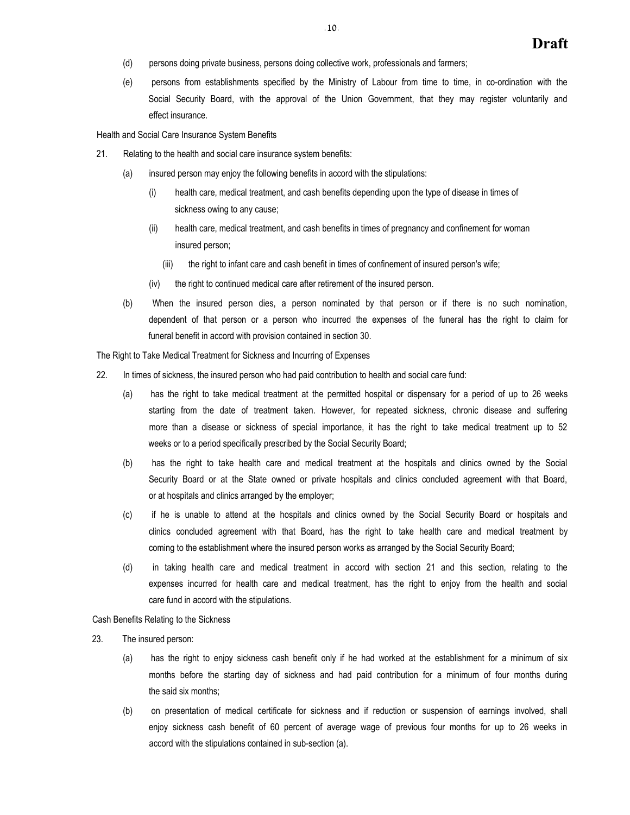- (d) persons doing private business, persons doing collective work, professionals and farmers;
- (e) persons from establishments specified by the Ministry of Labour from time to time, in co-ordination with the Social Security Board, with the approval of the Union Government, that they may register voluntarily and effect insurance.

Health and Social Care Insurance System Benefits

- 21. Relating to the health and social care insurance system benefits:
	- (a) insured person may enjoy the following benefits in accord with the stipulations:
		- (i) health care, medical treatment, and cash benefits depending upon the type of disease in times of sickness owing to any cause;
		- (ii) health care, medical treatment, and cash benefits in times of pregnancy and confinement for woman insured person;
			- (iii) the right to infant care and cash benefit in times of confinement of insured person's wife;
		- (iv) the right to continued medical care after retirement of the insured person.
	- (b) When the insured person dies, a person nominated by that person or if there is no such nomination, dependent of that person or a person who incurred the expenses of the funeral has the right to claim for funeral benefit in accord with provision contained in section 30.

The Right to Take Medical Treatment for Sickness and Incurring of Expenses

- 22. In times of sickness, the insured person who had paid contribution to health and social care fund:
	- (a) has the right to take medical treatment at the permitted hospital or dispensary for a period of up to 26 weeks starting from the date of treatment taken. However, for repeated sickness, chronic disease and suffering more than a disease or sickness of special importance, it has the right to take medical treatment up to 52 weeks or to a period specifically prescribed by the Social Security Board;
	- (b) has the right to take health care and medical treatment at the hospitals and clinics owned by the Social Security Board or at the State owned or private hospitals and clinics concluded agreement with that Board, or at hospitals and clinics arranged by the employer;
	- (c) if he is unable to attend at the hospitals and clinics owned by the Social Security Board or hospitals and clinics concluded agreement with that Board, has the right to take health care and medical treatment by coming to the establishment where the insured person works as arranged by the Social Security Board;
	- (d) in taking health care and medical treatment in accord with section 21 and this section, relating to the expenses incurred for health care and medical treatment, has the right to enjoy from the health and social care fund in accord with the stipulations.

Cash Benefits Relating to the Sickness

- 23. The insured person:
	- (a) has the right to enjoy sickness cash benefit only if he had worked at the establishment for a minimum of six months before the starting day of sickness and had paid contribution for a minimum of four months during the said six months;
	- (b) on presentation of medical certificate for sickness and if reduction or suspension of earnings involved, shall enjoy sickness cash benefit of 60 percent of average wage of previous four months for up to 26 weeks in accord with the stipulations contained in sub-section (a).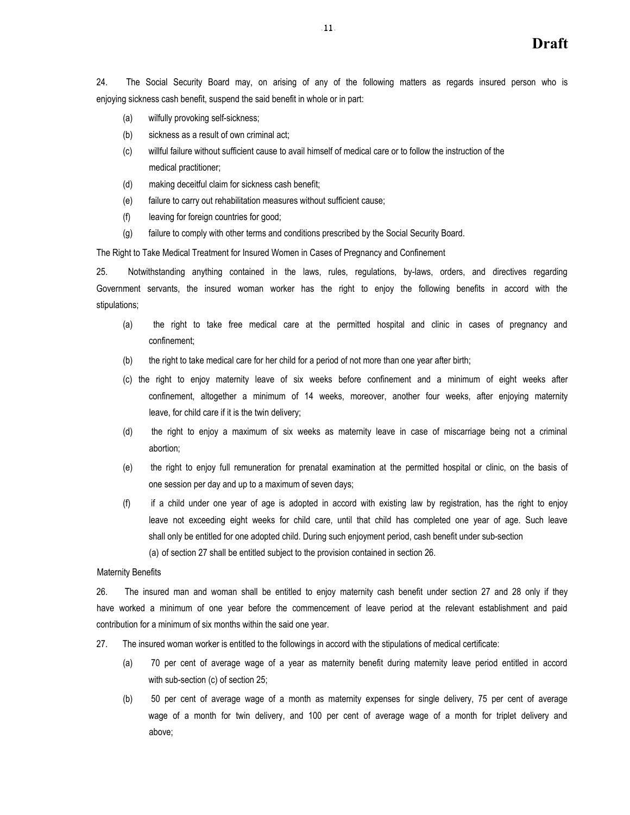24. The Social Security Board may, on arising of any of the following matters as regards insured person who is enjoying sickness cash benefit, suspend the said benefit in whole or in part:

- (a) wilfully provoking self-sickness;
- (b) sickness as a result of own criminal act;
- (c) willful failure without sufficient cause to avail himself of medical care or to follow the instruction of the medical practitioner;
- (d) making deceitful claim for sickness cash benefit;
- (e) failure to carry out rehabilitation measures without sufficient cause;
- (f) leaving for foreign countries for good;
- (g) failure to comply with other terms and conditions prescribed by the Social Security Board.

The Right to Take Medical Treatment for Insured Women in Cases of Pregnancy and Confinement

25. Notwithstanding anything contained in the laws, rules, regulations, by-laws, orders, and directives regarding Government servants, the insured woman worker has the right to enjoy the following benefits in accord with the stipulations;

- (a) the right to take free medical care at the permitted hospital and clinic in cases of pregnancy and confinement;
- (b) the right to take medical care for her child for a period of not more than one year after birth;
- (c) the right to enjoy maternity leave of six weeks before confinement and a minimum of eight weeks after confinement, altogether a minimum of 14 weeks, moreover, another four weeks, after enjoying maternity leave, for child care if it is the twin delivery;
- (d) the right to enjoy a maximum of six weeks as maternity leave in case of miscarriage being not a criminal abortion;
- (e) the right to enjoy full remuneration for prenatal examination at the permitted hospital or clinic, on the basis of one session per day and up to a maximum of seven days;
- (f) if a child under one year of age is adopted in accord with existing law by registration, has the right to enjoy leave not exceeding eight weeks for child care, until that child has completed one year of age. Such leave shall only be entitled for one adopted child. During such enjoyment period, cash benefit under sub-section (a) of section 27 shall be entitled subject to the provision contained in section 26.

#### Maternity Benefits

26. The insured man and woman shall be entitled to enjoy maternity cash benefit under section 27 and 28 only if they have worked a minimum of one year before the commencement of leave period at the relevant establishment and paid contribution for a minimum of six months within the said one year.

- 27. The insured woman worker is entitled to the followings in accord with the stipulations of medical certificate:
	- (a) 70 per cent of average wage of a year as maternity benefit during maternity leave period entitled in accord with sub-section (c) of section 25;
	- (b) 50 per cent of average wage of a month as maternity expenses for single delivery, 75 per cent of average wage of a month for twin delivery, and 100 per cent of average wage of a month for triplet delivery and above;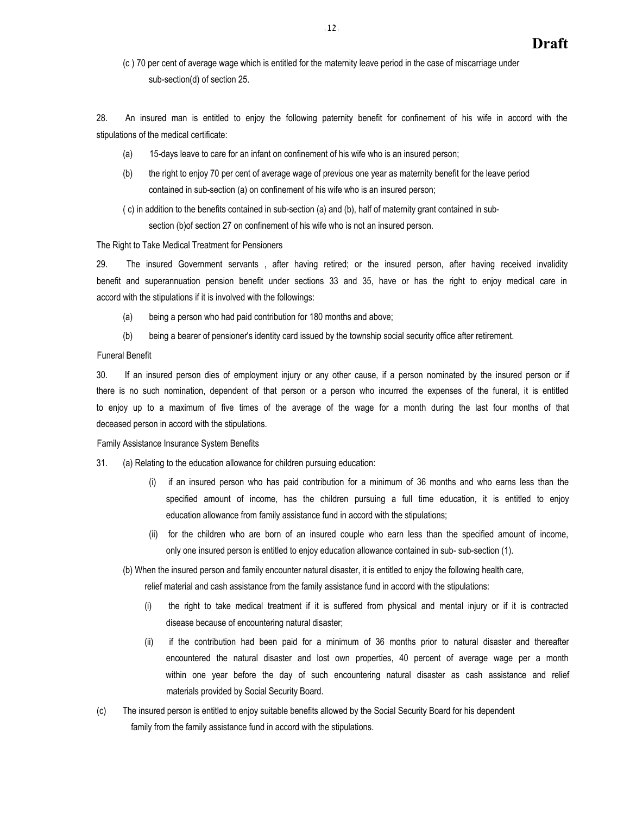(c ) 70 per cent of average wage which is entitled for the maternity leave period in the case of miscarriage under sub-section(d) of section 25.

28. An insured man is entitled to enjoy the following paternity benefit for confinement of his wife in accord with the stipulations of the medical certificate:

- (a) 15-days leave to care for an infant on confinement of his wife who is an insured person;
- (b) the right to enjoy 70 per cent of average wage of previous one year as maternity benefit for the leave period contained in sub-section (a) on confinement of his wife who is an insured person;
- ( c) in addition to the benefits contained in sub-section (a) and (b), half of maternity grant contained in subsection (b)of section 27 on confinement of his wife who is not an insured person.

#### The Right to Take Medical Treatment for Pensioners

29. The insured Government servants , after having retired; or the insured person, after having received invalidity benefit and superannuation pension benefit under sections 33 and 35, have or has the right to enjoy medical care in accord with the stipulations if it is involved with the followings:

- (a) being a person who had paid contribution for 180 months and above;
- (b) being a bearer of pensioner's identity card issued by the township social security office after retirement.

## Funeral Benefit

30. If an insured person dies of employment injury or any other cause, if a person nominated by the insured person or if there is no such nomination, dependent of that person or a person who incurred the expenses of the funeral, it is entitled to enjoy up to a maximum of five times of the average of the wage for a month during the last four months of that deceased person in accord with the stipulations.

Family Assistance Insurance System Benefits

- 31. (a) Relating to the education allowance for children pursuing education:
	- (i) if an insured person who has paid contribution for a minimum of 36 months and who earns less than the specified amount of income, has the children pursuing a full time education, it is entitled to enjoy education allowance from family assistance fund in accord with the stipulations;
	- (ii) for the children who are born of an insured couple who earn less than the specified amount of income, only one insured person is entitled to enjoy education allowance contained in sub- sub-section (1).

(b) When the insured person and family encounter natural disaster, it is entitled to enjoy the following health care,

relief material and cash assistance from the family assistance fund in accord with the stipulations:

- (i) the right to take medical treatment if it is suffered from physical and mental injury or if it is contracted disease because of encountering natural disaster;
- (ii) if the contribution had been paid for a minimum of 36 months prior to natural disaster and thereafter encountered the natural disaster and lost own properties, 40 percent of average wage per a month within one year before the day of such encountering natural disaster as cash assistance and relief materials provided by Social Security Board.
- (c) The insured person is entitled to enjoy suitable benefits allowed by the Social Security Board for his dependent family from the family assistance fund in accord with the stipulations.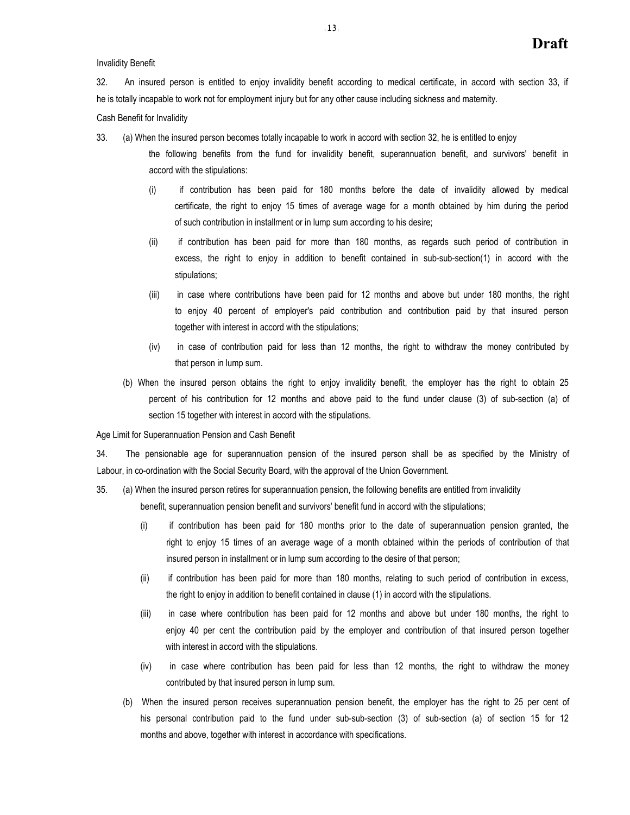Invalidity Benefit

32. An insured person is entitled to enjoy invalidity benefit according to medical certificate, in accord with section 33, if he is totally incapable to work not for employment injury but for any other cause including sickness and maternity.

Cash Benefit for Invalidity

33. (a) When the insured person becomes totally incapable to work in accord with section 32, he is entitled to enjoy

- the following benefits from the fund for invalidity benefit, superannuation benefit, and survivors' benefit in accord with the stipulations:
	- (i) if contribution has been paid for 180 months before the date of invalidity allowed by medical certificate, the right to enjoy 15 times of average wage for a month obtained by him during the period of such contribution in installment or in lump sum according to his desire;
	- (ii) if contribution has been paid for more than 180 months, as regards such period of contribution in excess, the right to enjoy in addition to benefit contained in sub-sub-section(1) in accord with the stipulations;
	- (iii) in case where contributions have been paid for 12 months and above but under 180 months, the right to enjoy 40 percent of employer's paid contribution and contribution paid by that insured person together with interest in accord with the stipulations;
	- (iv) in case of contribution paid for less than 12 months, the right to withdraw the money contributed by that person in lump sum.
- (b) When the insured person obtains the right to enjoy invalidity benefit, the employer has the right to obtain 25 percent of his contribution for 12 months and above paid to the fund under clause (3) of sub-section (a) of section 15 together with interest in accord with the stipulations.

Age Limit for Superannuation Pension and Cash Benefit

34. The pensionable age for superannuation pension of the insured person shall be as specified by the Ministry of Labour, in co-ordination with the Social Security Board, with the approval of the Union Government.

35. (a) When the insured person retires for superannuation pension, the following benefits are entitled from invalidity

benefit, superannuation pension benefit and survivors' benefit fund in accord with the stipulations;

- (i) if contribution has been paid for 180 months prior to the date of superannuation pension granted, the right to enjoy 15 times of an average wage of a month obtained within the periods of contribution of that insured person in installment or in lump sum according to the desire of that person;
- (ii) if contribution has been paid for more than 180 months, relating to such period of contribution in excess, the right to enjoy in addition to benefit contained in clause (1) in accord with the stipulations.
- (iii) in case where contribution has been paid for 12 months and above but under 180 months, the right to enjoy 40 per cent the contribution paid by the employer and contribution of that insured person together with interest in accord with the stipulations.
- (iv) in case where contribution has been paid for less than 12 months, the right to withdraw the money contributed by that insured person in lump sum.
- (b) When the insured person receives superannuation pension benefit, the employer has the right to 25 per cent of his personal contribution paid to the fund under sub-sub-section (3) of sub-section (a) of section 15 for 12 months and above, together with interest in accordance with specifications.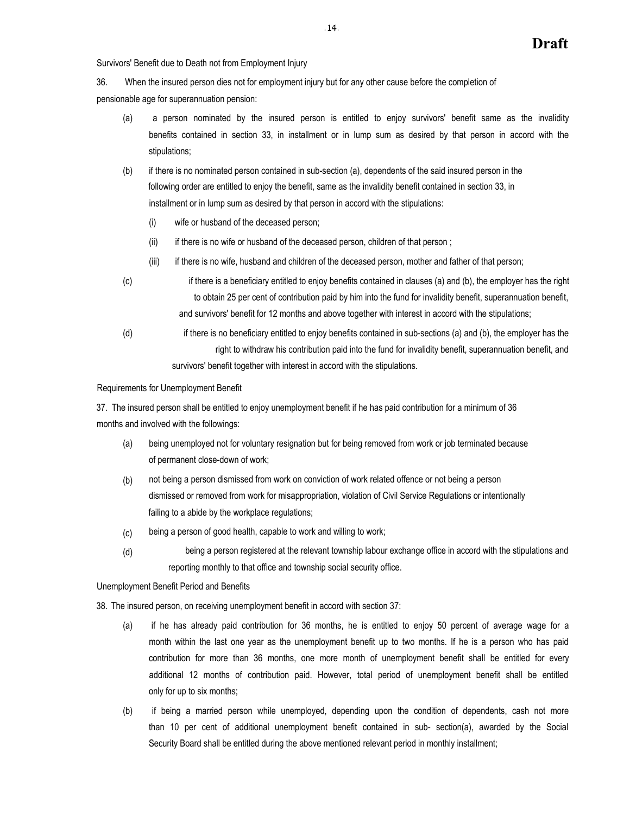Survivors' Benefit due to Death not from Employment Injury

36. When the insured person dies not for employment injury but for any other cause before the completion of

pensionable age for superannuation pension:

- (a) a person nominated by the insured person is entitled to enjoy survivors' benefit same as the invalidity benefits contained in section 33, in installment or in lump sum as desired by that person in accord with the stipulations;
- (b) if there is no nominated person contained in sub-section (a), dependents of the said insured person in the following order are entitled to enjoy the benefit, same as the invalidity benefit contained in section 33, in installment or in lump sum as desired by that person in accord with the stipulations:
	- (i) wife or husband of the deceased person;
	- (ii) if there is no wife or husband of the deceased person, children of that person;
	- (iii) if there is no wife, husband and children of the deceased person, mother and father of that person;
- (c) if there is a beneficiary entitled to enjoy benefits contained in clauses (a) and (b), the employer has the right to obtain 25 per cent of contribution paid by him into the fund for invalidity benefit, superannuation benefit, and survivors' benefit for 12 months and above together with interest in accord with the stipulations;
- (d) if there is no beneficiary entitled to enjoy benefits contained in sub-sections (a) and (b), the employer has the right to withdraw his contribution paid into the fund for invalidity benefit, superannuation benefit, and survivors' benefit together with interest in accord with the stipulations.

Requirements for Unemployment Benefit

37. The insured person shall be entitled to enjoy unemployment benefit if he has paid contribution for a minimum of 36 months and involved with the followings:

- (a) being unemployed not for voluntary resignation but for being removed from work or job terminated because of permanent close-down of work;
- not being a person dismissed from work on conviction of work related offence or not being a person dismissed or removed from work for misappropriation, violation of Civil Service Regulations or intentionally failing to a abide by the workplace regulations; (b)
- being a person of good health, capable to work and willing to work; (c)
- being a person registered at the relevant township labour exchange office in accord with the stipulations and reporting monthly to that office and township social security office. (d)

Unemployment Benefit Period and Benefits

38. The insured person, on receiving unemployment benefit in accord with section 37:

- (a) if he has already paid contribution for 36 months, he is entitled to enjoy 50 percent of average wage for a month within the last one year as the unemployment benefit up to two months. If he is a person who has paid contribution for more than 36 months, one more month of unemployment benefit shall be entitled for every additional 12 months of contribution paid. However, total period of unemployment benefit shall be entitled only for up to six months;
- (b) if being a married person while unemployed, depending upon the condition of dependents, cash not more than 10 per cent of additional unemployment benefit contained in sub- section(a), awarded by the Social Security Board shall be entitled during the above mentioned relevant period in monthly installment;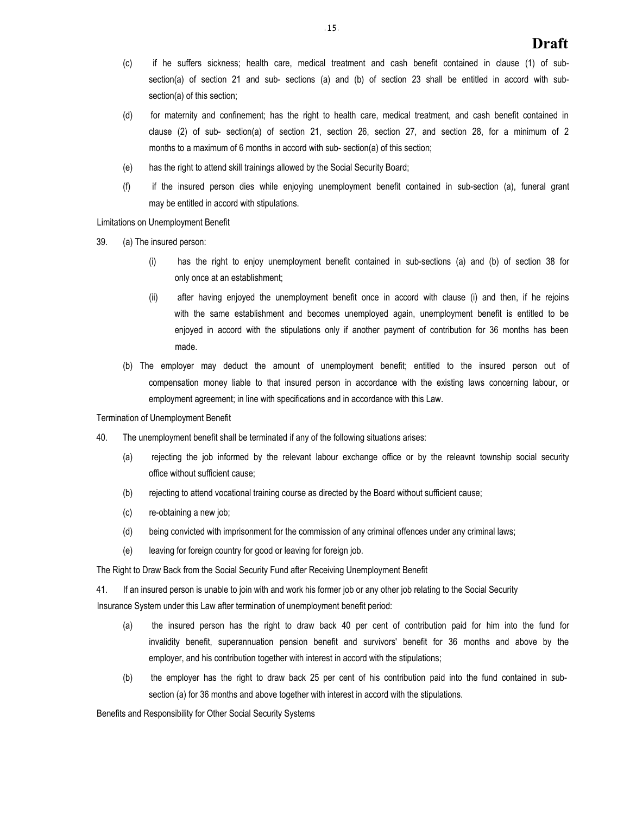- (c) if he suffers sickness; health care, medical treatment and cash benefit contained in clause (1) of subsection(a) of section 21 and sub- sections (a) and (b) of section 23 shall be entitled in accord with subsection(a) of this section;
- (d) for maternity and confinement; has the right to health care, medical treatment, and cash benefit contained in clause (2) of sub- section(a) of section 21, section 26, section 27, and section 28, for a minimum of 2 months to a maximum of 6 months in accord with sub- section(a) of this section;
- (e) has the right to attend skill trainings allowed by the Social Security Board;
- (f) if the insured person dies while enjoying unemployment benefit contained in sub-section (a), funeral grant may be entitled in accord with stipulations.

Limitations on Unemployment Benefit

- 39. (a) The insured person:
	- (i) has the right to enjoy unemployment benefit contained in sub-sections (a) and (b) of section 38 for only once at an establishment;
	- (ii) after having enjoyed the unemployment benefit once in accord with clause (i) and then, if he rejoins with the same establishment and becomes unemployed again, unemployment benefit is entitled to be enjoyed in accord with the stipulations only if another payment of contribution for 36 months has been made.
	- (b) The employer may deduct the amount of unemployment benefit; entitled to the insured person out of compensation money liable to that insured person in accordance with the existing laws concerning labour, or employment agreement; in line with specifications and in accordance with this Law.

Termination of Unemployment Benefit

- 40. The unemployment benefit shall be terminated if any of the following situations arises:
	- (a) rejecting the job informed by the relevant labour exchange office or by the releavnt township social security office without sufficient cause;
	- (b) rejecting to attend vocational training course as directed by the Board without sufficient cause;
	- (c) re-obtaining a new job;
	- (d) being convicted with imprisonment for the commission of any criminal offences under any criminal laws;
	- (e) leaving for foreign country for good or leaving for foreign job.

The Right to Draw Back from the Social Security Fund after Receiving Unemployment Benefit

41. If an insured person is unable to join with and work his former job or any other job relating to the Social Security Insurance System under this Law after termination of unemployment benefit period:

- (a) the insured person has the right to draw back 40 per cent of contribution paid for him into the fund for invalidity benefit, superannuation pension benefit and survivors' benefit for 36 months and above by the employer, and his contribution together with interest in accord with the stipulations;
- (b) the employer has the right to draw back 25 per cent of his contribution paid into the fund contained in subsection (a) for 36 months and above together with interest in accord with the stipulations.

Benefits and Responsibility for Other Social Security Systems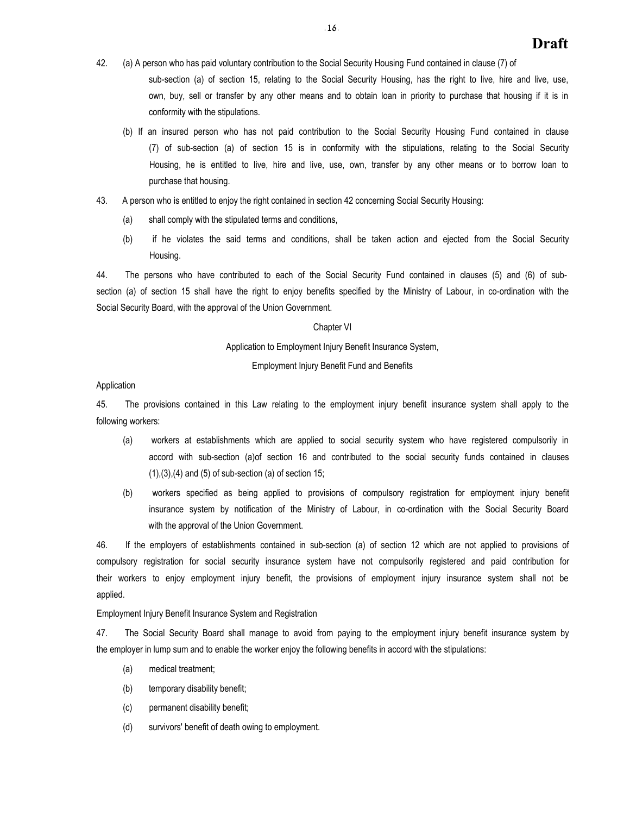- 42. (a) A person who has paid voluntary contribution to the Social Security Housing Fund contained in clause (7) of sub-section (a) of section 15, relating to the Social Security Housing, has the right to live, hire and live, use, own, buy, sell or transfer by any other means and to obtain loan in priority to purchase that housing if it is in conformity with the stipulations.
	- (b) If an insured person who has not paid contribution to the Social Security Housing Fund contained in clause (7) of sub-section (a) of section 15 is in conformity with the stipulations, relating to the Social Security Housing, he is entitled to live, hire and live, use, own, transfer by any other means or to borrow loan to purchase that housing.
- 43. A person who is entitled to enjoy the right contained in section 42 concerning Social Security Housing:
	- (a) shall comply with the stipulated terms and conditions,
	- (b) if he violates the said terms and conditions, shall be taken action and ejected from the Social Security Housing.

44. The persons who have contributed to each of the Social Security Fund contained in clauses (5) and (6) of subsection (a) of section 15 shall have the right to enjoy benefits specified by the Ministry of Labour, in co-ordination with the Social Security Board, with the approval of the Union Government.

## Chapter VI

Application to Employment Injury Benefit Insurance System,

Employment Injury Benefit Fund and Benefits

## Application

45. The provisions contained in this Law relating to the employment injury benefit insurance system shall apply to the following workers:

- (a) workers at establishments which are applied to social security system who have registered compulsorily in accord with sub-section (a)of section 16 and contributed to the social security funds contained in clauses  $(1),(3),(4)$  and  $(5)$  of sub-section  $(a)$  of section 15;
- (b) workers specified as being applied to provisions of compulsory registration for employment injury benefit insurance system by notification of the Ministry of Labour, in co-ordination with the Social Security Board with the approval of the Union Government.

46. If the employers of establishments contained in sub-section (a) of section 12 which are not applied to provisions of compulsory registration for social security insurance system have not compulsorily registered and paid contribution for their workers to enjoy employment injury benefit, the provisions of employment injury insurance system shall not be applied.

Employment Injury Benefit Insurance System and Registration

47. The Social Security Board shall manage to avoid from paying to the employment injury benefit insurance system by the employer in lump sum and to enable the worker enjoy the following benefits in accord with the stipulations:

- (a) medical treatment;
- (b) temporary disability benefit;
- (c) permanent disability benefit;
- (d) survivors' benefit of death owing to employment.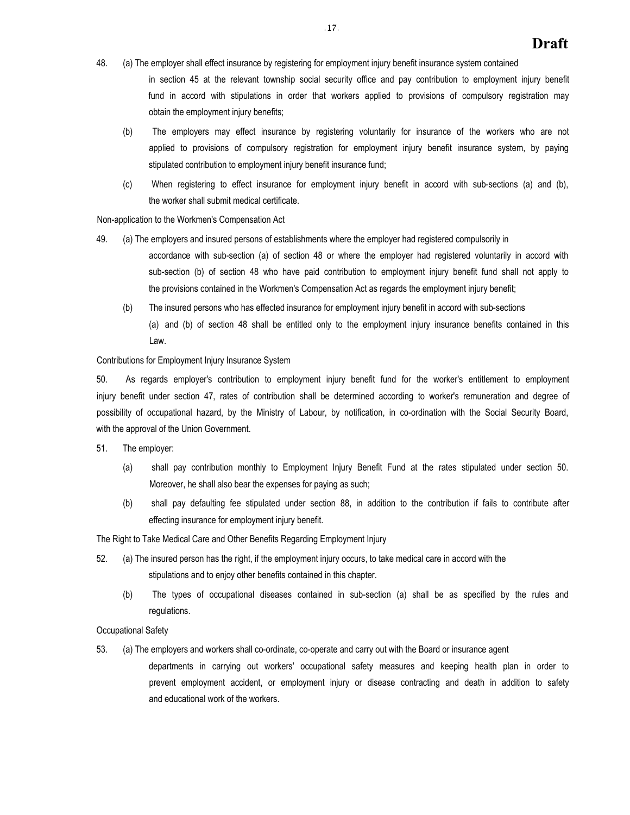- 48. (a) The employer shall effect insurance by registering for employment injury benefit insurance system contained in section 45 at the relevant township social security office and pay contribution to employment injury benefit fund in accord with stipulations in order that workers applied to provisions of compulsory registration may obtain the employment injury benefits;
	- (b) The employers may effect insurance by registering voluntarily for insurance of the workers who are not applied to provisions of compulsory registration for employment injury benefit insurance system, by paying stipulated contribution to employment injury benefit insurance fund;
	- (c) When registering to effect insurance for employment injury benefit in accord with sub-sections (a) and (b), the worker shall submit medical certificate.

## Non-application to the Workmen's Compensation Act

49. (a) The employers and insured persons of establishments where the employer had registered compulsorily in

accordance with sub-section (a) of section 48 or where the employer had registered voluntarily in accord with sub-section (b) of section 48 who have paid contribution to employment injury benefit fund shall not apply to the provisions contained in the Workmen's Compensation Act as regards the employment injury benefit;

(b) The insured persons who has effected insurance for employment injury benefit in accord with sub-sections (a) and (b) of section 48 shall be entitled only to the employment injury insurance benefits contained in this Law.

## Contributions for Employment Injury Insurance System

50. As regards employer's contribution to employment injury benefit fund for the worker's entitlement to employment injury benefit under section 47, rates of contribution shall be determined according to worker's remuneration and degree of possibility of occupational hazard, by the Ministry of Labour, by notification, in co-ordination with the Social Security Board, with the approval of the Union Government.

- 51. The employer:
	- (a) shall pay contribution monthly to Employment Injury Benefit Fund at the rates stipulated under section 50. Moreover, he shall also bear the expenses for paying as such;
	- (b) shall pay defaulting fee stipulated under section 88, in addition to the contribution if fails to contribute after effecting insurance for employment injury benefit.

The Right to Take Medical Care and Other Benefits Regarding Employment Injury

- 52. (a) The insured person has the right, if the employment injury occurs, to take medical care in accord with the stipulations and to enjoy other benefits contained in this chapter.
	- (b) The types of occupational diseases contained in sub-section (a) shall be as specified by the rules and regulations.

Occupational Safety

- 53. (a) The employers and workers shall co-ordinate, co-operate and carry out with the Board or insurance agent
	- departments in carrying out workers' occupational safety measures and keeping health plan in order to prevent employment accident, or employment injury or disease contracting and death in addition to safety and educational work of the workers.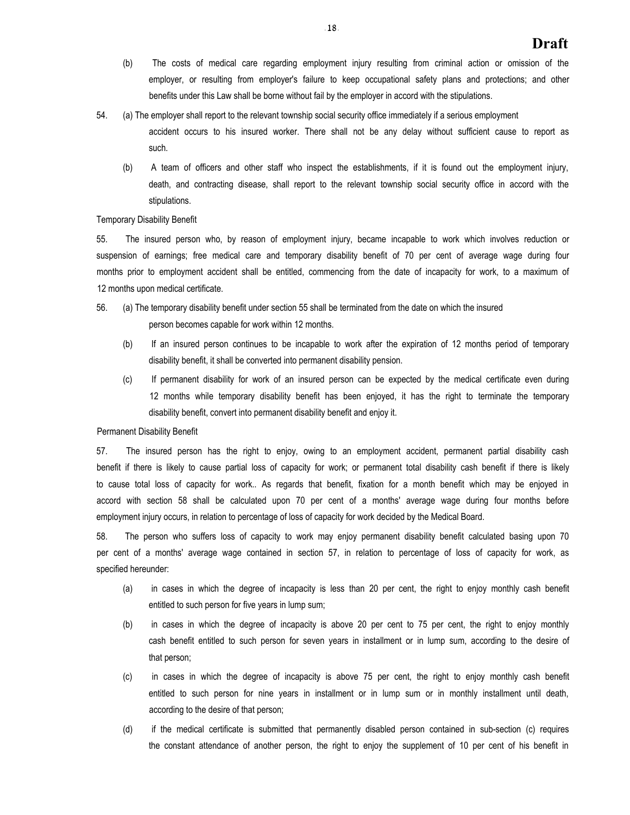- (b) The costs of medical care regarding employment injury resulting from criminal action or omission of the employer, or resulting from employer's failure to keep occupational safety plans and protections; and other benefits under this Law shall be borne without fail by the employer in accord with the stipulations.
- 54. (a) The employer shall report to the relevant township social security office immediately if a serious employment accident occurs to his insured worker. There shall not be any delay without sufficient cause to report as such.
	- (b) A team of officers and other staff who inspect the establishments, if it is found out the employment injury, death, and contracting disease, shall report to the relevant township social security office in accord with the stipulations.

#### Temporary Disability Benefit

55. The insured person who, by reason of employment injury, became incapable to work which involves reduction or suspension of earnings; free medical care and temporary disability benefit of 70 per cent of average wage during four months prior to employment accident shall be entitled, commencing from the date of incapacity for work, to a maximum of 12 months upon medical certificate.

- 56. (a) The temporary disability benefit under section 55 shall be terminated from the date on which the insured person becomes capable for work within 12 months.
	- (b) If an insured person continues to be incapable to work after the expiration of 12 months period of temporary disability benefit, it shall be converted into permanent disability pension.
	- (c) If permanent disability for work of an insured person can be expected by the medical certificate even during 12 months while temporary disability benefit has been enjoyed, it has the right to terminate the temporary disability benefit, convert into permanent disability benefit and enjoy it.

#### Permanent Disability Benefit

57. The insured person has the right to enjoy, owing to an employment accident, permanent partial disability cash benefit if there is likely to cause partial loss of capacity for work; or permanent total disability cash benefit if there is likely to cause total loss of capacity for work.. As regards that benefit, fixation for a month benefit which may be enjoyed in accord with section 58 shall be calculated upon 70 per cent of a months' average wage during four months before employment injury occurs, in relation to percentage of loss of capacity for work decided by the Medical Board.

58. The person who suffers loss of capacity to work may enjoy permanent disability benefit calculated basing upon 70 per cent of a months' average wage contained in section 57, in relation to percentage of loss of capacity for work, as specified hereunder:

- (a) in cases in which the degree of incapacity is less than 20 per cent, the right to enjoy monthly cash benefit entitled to such person for five years in lump sum;
- (b) in cases in which the degree of incapacity is above 20 per cent to 75 per cent, the right to enjoy monthly cash benefit entitled to such person for seven years in installment or in lump sum, according to the desire of that person;
- (c) in cases in which the degree of incapacity is above 75 per cent, the right to enjoy monthly cash benefit entitled to such person for nine years in installment or in lump sum or in monthly installment until death, according to the desire of that person;
- (d) if the medical certificate is submitted that permanently disabled person contained in sub-section (c) requires the constant attendance of another person, the right to enjoy the supplement of 10 per cent of his benefit in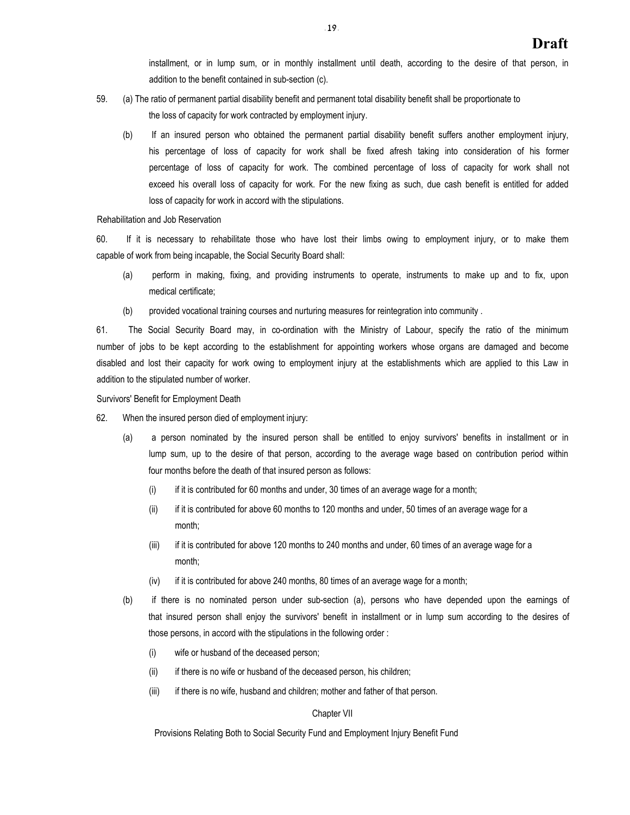installment, or in lump sum, or in monthly installment until death, according to the desire of that person, in addition to the benefit contained in sub-section (c).

- 59. (a) The ratio of permanent partial disability benefit and permanent total disability benefit shall be proportionate to the loss of capacity for work contracted by employment injury.
	- (b) If an insured person who obtained the permanent partial disability benefit suffers another employment injury, his percentage of loss of capacity for work shall be fixed afresh taking into consideration of his former percentage of loss of capacity for work. The combined percentage of loss of capacity for work shall not exceed his overall loss of capacity for work. For the new fixing as such, due cash benefit is entitled for added loss of capacity for work in accord with the stipulations.

Rehabilitation and Job Reservation

60. If it is necessary to rehabilitate those who have lost their limbs owing to employment injury, or to make them capable of work from being incapable, the Social Security Board shall:

- (a) perform in making, fixing, and providing instruments to operate, instruments to make up and to fix, upon medical certificate;
- (b) provided vocational training courses and nurturing measures for reintegration into community .

61. The Social Security Board may, in co-ordination with the Ministry of Labour, specify the ratio of the minimum number of jobs to be kept according to the establishment for appointing workers whose organs are damaged and become disabled and lost their capacity for work owing to employment injury at the establishments which are applied to this Law in addition to the stipulated number of worker.

#### Survivors' Benefit for Employment Death

- 62. When the insured person died of employment injury:
	- (a) a person nominated by the insured person shall be entitled to enjoy survivors' benefits in installment or in lump sum, up to the desire of that person, according to the average wage based on contribution period within four months before the death of that insured person as follows:
		- (i) if it is contributed for 60 months and under, 30 times of an average wage for a month;
		- (ii) if it is contributed for above 60 months to 120 months and under, 50 times of an average wage for a month;
		- (iii) if it is contributed for above 120 months to 240 months and under, 60 times of an average wage for a month;
		- (iv) if it is contributed for above 240 months, 80 times of an average wage for a month;
	- (b) if there is no nominated person under sub-section (a), persons who have depended upon the earnings of that insured person shall enjoy the survivors' benefit in installment or in lump sum according to the desires of those persons, in accord with the stipulations in the following order :
		- (i) wife or husband of the deceased person;
		- (ii) if there is no wife or husband of the deceased person, his children;
		- (iii) if there is no wife, husband and children; mother and father of that person.

#### Chapter VII

Provisions Relating Both to Social Security Fund and Employment Injury Benefit Fund

 $-19.$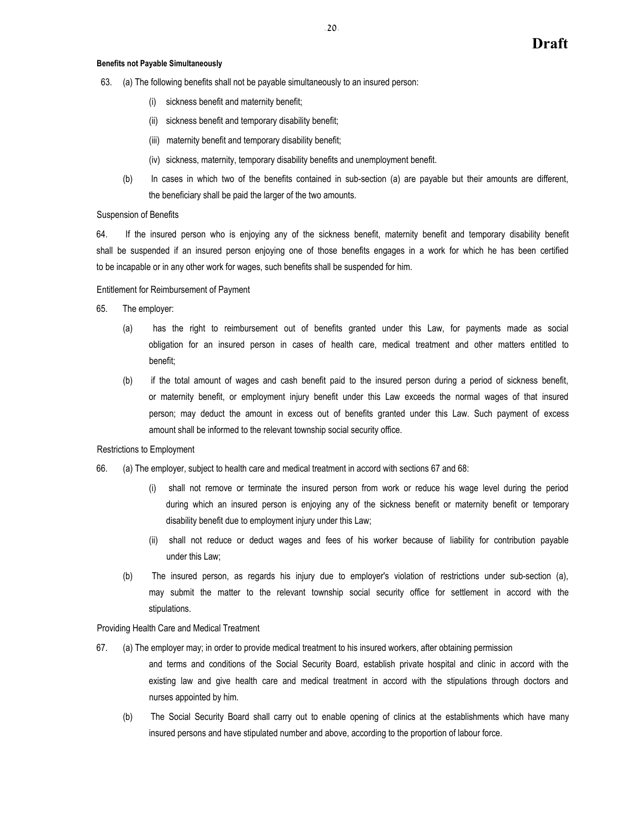## **Benefits not Payable Simultaneously**

- 63. (a) The following benefits shall not be payable simultaneously to an insured person:
	- (i) sickness benefit and maternity benefit;
	- (ii) sickness benefit and temporary disability benefit;
	- (iii) maternity benefit and temporary disability benefit;
	- (iv) sickness, maternity, temporary disability benefits and unemployment benefit.
	- (b) In cases in which two of the benefits contained in sub-section (a) are payable but their amounts are different, the beneficiary shall be paid the larger of the two amounts.

#### Suspension of Benefits

64. If the insured person who is enjoying any of the sickness benefit, maternity benefit and temporary disability benefit shall be suspended if an insured person enjoying one of those benefits engages in a work for which he has been certified to be incapable or in any other work for wages, such benefits shall be suspended for him.

Entitlement for Reimbursement of Payment

- 65. The employer:
	- (a) has the right to reimbursement out of benefits granted under this Law, for payments made as social obligation for an insured person in cases of health care, medical treatment and other matters entitled to benefit;
	- (b) if the total amount of wages and cash benefit paid to the insured person during a period of sickness benefit, or maternity benefit, or employment injury benefit under this Law exceeds the normal wages of that insured person; may deduct the amount in excess out of benefits granted under this Law. Such payment of excess amount shall be informed to the relevant township social security office.

#### Restrictions to Employment

- 66. (a) The employer, subject to health care and medical treatment in accord with sections 67 and 68:
	- shall not remove or terminate the insured person from work or reduce his wage level during the period during which an insured person is enjoying any of the sickness benefit or maternity benefit or temporary disability benefit due to employment injury under this Law;
	- (ii) shall not reduce or deduct wages and fees of his worker because of liability for contribution payable under this Law;
	- (b) The insured person, as regards his injury due to employer's violation of restrictions under sub-section (a), may submit the matter to the relevant township social security office for settlement in accord with the stipulations.

Providing Health Care and Medical Treatment

- 67. (a) The employer may; in order to provide medical treatment to his insured workers, after obtaining permission
	- and terms and conditions of the Social Security Board, establish private hospital and clinic in accord with the existing law and give health care and medical treatment in accord with the stipulations through doctors and nurses appointed by him.
	- (b) The Social Security Board shall carry out to enable opening of clinics at the establishments which have many insured persons and have stipulated number and above, according to the proportion of labour force.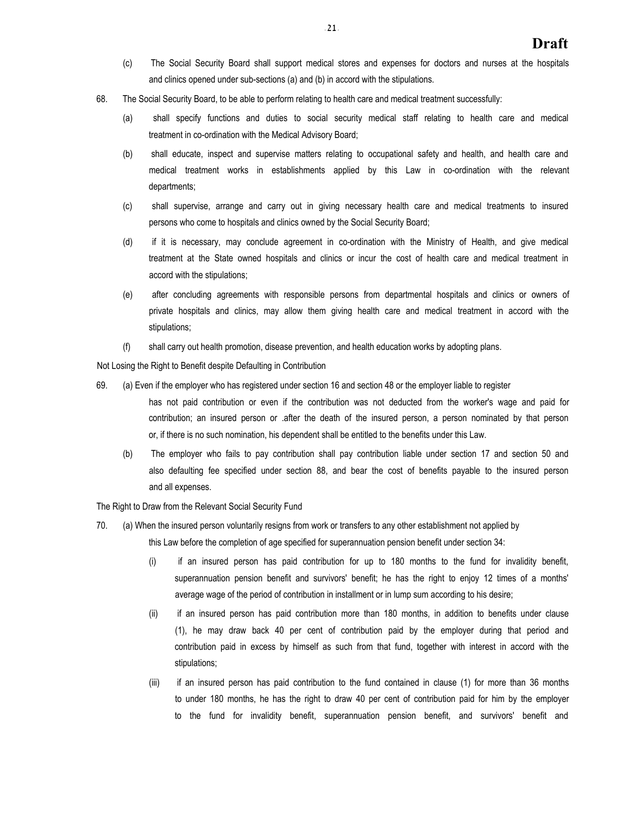- (c) The Social Security Board shall support medical stores and expenses for doctors and nurses at the hospitals and clinics opened under sub-sections (a) and (b) in accord with the stipulations.
- 68. The Social Security Board, to be able to perform relating to health care and medical treatment successfully:
	- (a) shall specify functions and duties to social security medical staff relating to health care and medical treatment in co-ordination with the Medical Advisory Board;
	- (b) shall educate, inspect and supervise matters relating to occupational safety and health, and health care and medical treatment works in establishments applied by this Law in co-ordination with the relevant departments;
	- (c) shall supervise, arrange and carry out in giving necessary health care and medical treatments to insured persons who come to hospitals and clinics owned by the Social Security Board;
	- (d) if it is necessary, may conclude agreement in co-ordination with the Ministry of Health, and give medical treatment at the State owned hospitals and clinics or incur the cost of health care and medical treatment in accord with the stipulations;
	- (e) after concluding agreements with responsible persons from departmental hospitals and clinics or owners of private hospitals and clinics, may allow them giving health care and medical treatment in accord with the stipulations;
	- (f) shall carry out health promotion, disease prevention, and health education works by adopting plans.

Not Losing the Right to Benefit despite Defaulting in Contribution

- 69. (a) Even if the employer who has registered under section 16 and section 48 or the employer liable to register has not paid contribution or even if the contribution was not deducted from the worker's wage and paid for contribution; an insured person or .after the death of the insured person, a person nominated by that person or, if there is no such nomination, his dependent shall be entitled to the benefits under this Law.
	- (b) The employer who fails to pay contribution shall pay contribution liable under section 17 and section 50 and also defaulting fee specified under section 88, and bear the cost of benefits payable to the insured person and all expenses.

The Right to Draw from the Relevant Social Security Fund

- 70. (a) When the insured person voluntarily resigns from work or transfers to any other establishment not applied by this Law before the completion of age specified for superannuation pension benefit under section 34:
	- (i) if an insured person has paid contribution for up to 180 months to the fund for invalidity benefit, superannuation pension benefit and survivors' benefit; he has the right to enjoy 12 times of a months' average wage of the period of contribution in installment or in lump sum according to his desire;
	- (ii) if an insured person has paid contribution more than 180 months, in addition to benefits under clause (1), he may draw back 40 per cent of contribution paid by the employer during that period and contribution paid in excess by himself as such from that fund, together with interest in accord with the stipulations;
	- (iii) if an insured person has paid contribution to the fund contained in clause (1) for more than 36 months to under 180 months, he has the right to draw 40 per cent of contribution paid for him by the employer to the fund for invalidity benefit, superannuation pension benefit, and survivors' benefit and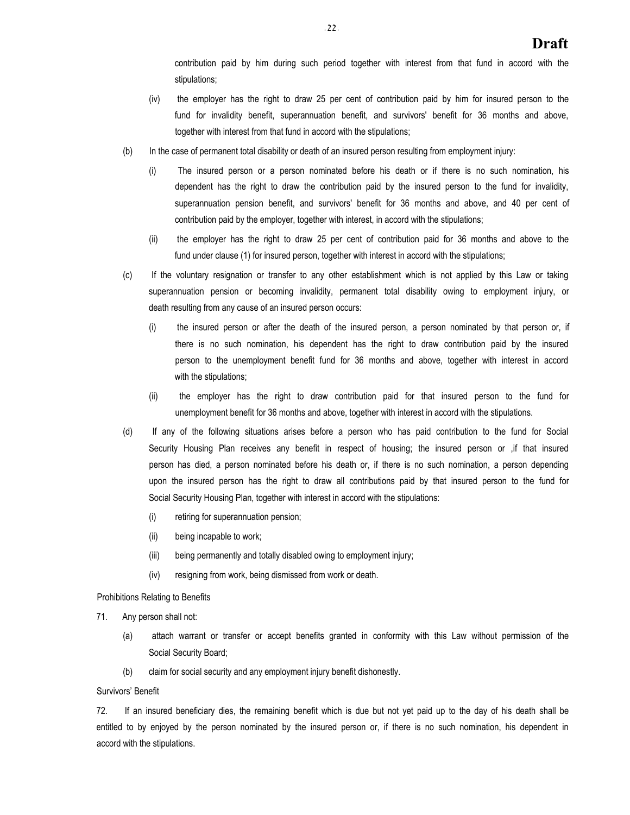contribution paid by him during such period together with interest from that fund in accord with the stipulations;

- (iv) the employer has the right to draw 25 per cent of contribution paid by him for insured person to the fund for invalidity benefit, superannuation benefit, and survivors' benefit for 36 months and above, together with interest from that fund in accord with the stipulations;
- (b) In the case of permanent total disability or death of an insured person resulting from employment injury:
	- (i) The insured person or a person nominated before his death or if there is no such nomination, his dependent has the right to draw the contribution paid by the insured person to the fund for invalidity, superannuation pension benefit, and survivors' benefit for 36 months and above, and 40 per cent of contribution paid by the employer, together with interest, in accord with the stipulations;
	- (ii) the employer has the right to draw 25 per cent of contribution paid for 36 months and above to the fund under clause (1) for insured person, together with interest in accord with the stipulations;
- (c) If the voluntary resignation or transfer to any other establishment which is not applied by this Law or taking superannuation pension or becoming invalidity, permanent total disability owing to employment injury, or death resulting from any cause of an insured person occurs:
	- (i) the insured person or after the death of the insured person, a person nominated by that person or, if there is no such nomination, his dependent has the right to draw contribution paid by the insured person to the unemployment benefit fund for 36 months and above, together with interest in accord with the stipulations;
	- (ii) the employer has the right to draw contribution paid for that insured person to the fund for unemployment benefit for 36 months and above, together with interest in accord with the stipulations.
- (d) If any of the following situations arises before a person who has paid contribution to the fund for Social Security Housing Plan receives any benefit in respect of housing; the insured person or , if that insured person has died, a person nominated before his death or, if there is no such nomination, a person depending upon the insured person has the right to draw all contributions paid by that insured person to the fund for Social Security Housing Plan, together with interest in accord with the stipulations:
	- (i) retiring for superannuation pension;
	- (ii) being incapable to work;
	- (iii) being permanently and totally disabled owing to employment injury;
	- (iv) resigning from work, being dismissed from work or death.

#### Prohibitions Relating to Benefits

- 71. Any person shall not:
	- (a) attach warrant or transfer or accept benefits granted in conformity with this Law without permission of the Social Security Board;
	- (b) claim for social security and any employment injury benefit dishonestly.

## Survivors' Benefit

72. If an insured beneficiary dies, the remaining benefit which is due but not yet paid up to the day of his death shall be entitled to by enjoyed by the person nominated by the insured person or, if there is no such nomination, his dependent in accord with the stipulations.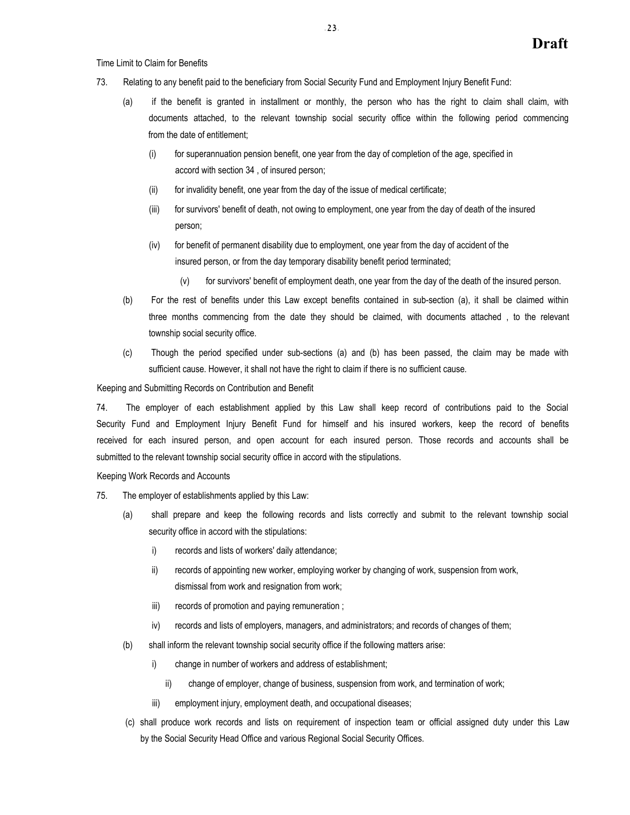Time Limit to Claim for Benefits

- 73. Relating to any benefit paid to the beneficiary from Social Security Fund and Employment Injury Benefit Fund:
	- (a) if the benefit is granted in installment or monthly, the person who has the right to claim shall claim, with documents attached, to the relevant township social security office within the following period commencing from the date of entitlement;
		- (i) for superannuation pension benefit, one year from the day of completion of the age, specified in accord with section 34 , of insured person;
		- (ii) for invalidity benefit, one year from the day of the issue of medical certificate;
		- (iii) for survivors' benefit of death, not owing to employment, one year from the day of death of the insured person;
		- (iv) for benefit of permanent disability due to employment, one year from the day of accident of the insured person, or from the day temporary disability benefit period terminated;
			- (v) for survivors' benefit of employment death, one year from the day of the death of the insured person.
	- (b) For the rest of benefits under this Law except benefits contained in sub-section (a), it shall be claimed within three months commencing from the date they should be claimed, with documents attached , to the relevant township social security office.
	- (c) Though the period specified under sub-sections (a) and (b) has been passed, the claim may be made with sufficient cause. However, it shall not have the right to claim if there is no sufficient cause.

Keeping and Submitting Records on Contribution and Benefit

74. The employer of each establishment applied by this Law shall keep record of contributions paid to the Social Security Fund and Employment Injury Benefit Fund for himself and his insured workers, keep the record of benefits received for each insured person, and open account for each insured person. Those records and accounts shall be submitted to the relevant township social security office in accord with the stipulations.

Keeping Work Records and Accounts

- 75. The employer of establishments applied by this Law:
	- (a) shall prepare and keep the following records and lists correctly and submit to the relevant township social security office in accord with the stipulations:
		- i) records and lists of workers' daily attendance;
		- ii) records of appointing new worker, employing worker by changing of work, suspension from work, dismissal from work and resignation from work;
		- iii) records of promotion and paying remuneration;
		- iv) records and lists of employers, managers, and administrators; and records of changes of them;
	- (b) shall inform the relevant township social security office if the following matters arise:
		- i) change in number of workers and address of establishment;
			- ii) change of employer, change of business, suspension from work, and termination of work;
		- iii) employment injury, employment death, and occupational diseases;
	- (c) shall produce work records and lists on requirement of inspection team or official assigned duty under this Law by the Social Security Head Office and various Regional Social Security Offices.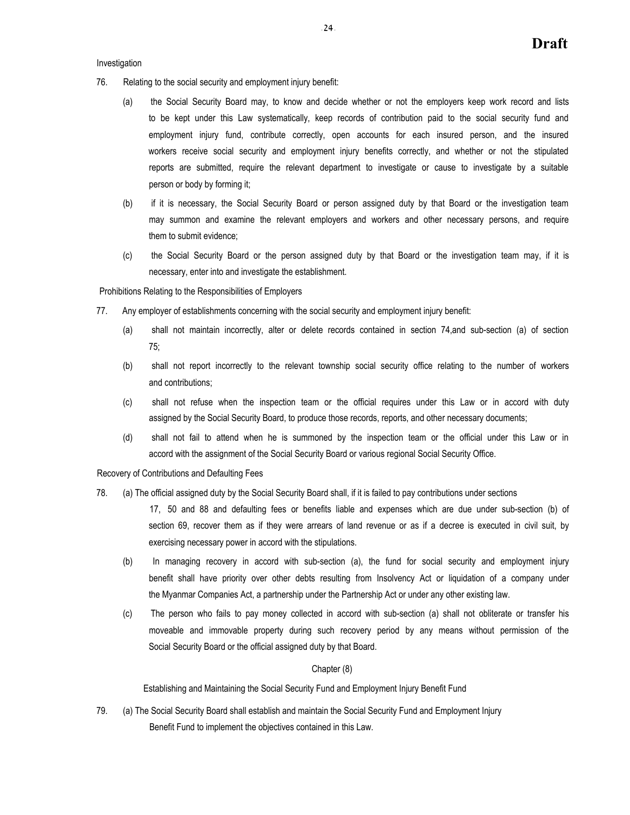Investigation

- 76. Relating to the social security and employment injury benefit:
	- (a) the Social Security Board may, to know and decide whether or not the employers keep work record and lists to be kept under this Law systematically, keep records of contribution paid to the social security fund and employment injury fund, contribute correctly, open accounts for each insured person, and the insured workers receive social security and employment injury benefits correctly, and whether or not the stipulated reports are submitted, require the relevant department to investigate or cause to investigate by a suitable person or body by forming it;
	- (b) if it is necessary, the Social Security Board or person assigned duty by that Board or the investigation team may summon and examine the relevant employers and workers and other necessary persons, and require them to submit evidence;
	- (c) the Social Security Board or the person assigned duty by that Board or the investigation team may, if it is necessary, enter into and investigate the establishment.

Prohibitions Relating to the Responsibilities of Employers

- 77. Any employer of establishments concerning with the social security and employment injury benefit:
	- (a) shall not maintain incorrectly, alter or delete records contained in section 74,and sub-section (a) of section 75;
	- (b) shall not report incorrectly to the relevant township social security office relating to the number of workers and contributions;
	- (c) shall not refuse when the inspection team or the official requires under this Law or in accord with duty assigned by the Social Security Board, to produce those records, reports, and other necessary documents;
	- (d) shall not fail to attend when he is summoned by the inspection team or the official under this Law or in accord with the assignment of the Social Security Board or various regional Social Security Office.

Recovery of Contributions and Defaulting Fees

78. (a) The official assigned duty by the Social Security Board shall, if it is failed to pay contributions under sections

17, 50 and 88 and defaulting fees or benefits liable and expenses which are due under sub-section (b) of section 69, recover them as if they were arrears of land revenue or as if a decree is executed in civil suit, by exercising necessary power in accord with the stipulations.

- (b) In managing recovery in accord with sub-section (a), the fund for social security and employment injury benefit shall have priority over other debts resulting from Insolvency Act or liquidation of a company under the Myanmar Companies Act, a partnership under the Partnership Act or under any other existing law.
- (c) The person who fails to pay money collected in accord with sub-section (a) shall not obliterate or transfer his moveable and immovable property during such recovery period by any means without permission of the Social Security Board or the official assigned duty by that Board.

Chapter (8)

Establishing and Maintaining the Social Security Fund and Employment Injury Benefit Fund

79. (a) The Social Security Board shall establish and maintain the Social Security Fund and Employment Injury Benefit Fund to implement the objectives contained in this Law.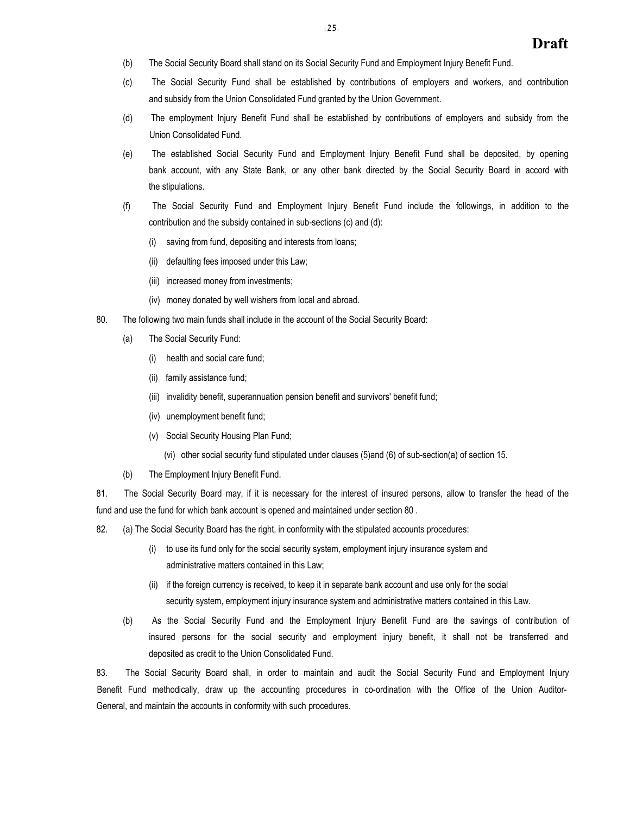- (b) The Social Security Board shall stand on its Social Security Fund and Employment Injury Benefit Fund.
- (c) The Social Security Fund shall be established by contributions of employers and workers, and contribution and subsidy from the Union Consolidated Fund granted by the Union Government.
- (d) The employment Injury Benefit Fund shall be established by contributions of employers and subsidy from the Union Consolidated Fund.
- (e) The established Social Security Fund and Employment Injury Benefit Fund shall be deposited, by opening bank account, with any State Bank, or any other bank directed by the Social Security Board in accord with the stipulations.
- (f) The Social Security Fund and Employment Injury Benefit Fund include the followings, in addition to the contribution and the subsidy contained in sub-sections (c) and (d):
	- (i) saving from fund, depositing and interests from loans;
	- (ii) defaulting fees imposed under this Law;
	- (iii) increased money from investments;
	- (iv) money donated by well wishers from local and abroad.
- 80. The following two main funds shall include in the account of the Social Security Board:
	- (a) The Social Security Fund:
		- (i) health and social care fund;
		- (ii) family assistance fund;
		- (iii) invalidity benefit, superannuation pension benefit and survivors' benefit fund;
		- (iv) unemployment benefit fund;
		- (v) Social Security Housing Plan Fund;
			- (vi) other social security fund stipulated under clauses (5)and (6) of sub-section(a) of section 15.
	- (b) The Employment Injury Benefit Fund.

81. The Social Security Board may, if it is necessary for the interest of insured persons, allow to transfer the head of the fund and use the fund for which bank account is opened and maintained under section 80 .

82. (a) The Social Security Board has the right, in conformity with the stipulated accounts procedures:

- (i) to use its fund only for the social security system, employment injury insurance system and administrative matters contained in this Law;
- (ii) if the foreign currency is received, to keep it in separate bank account and use only for the social security system, employment injury insurance system and administrative matters contained in this Law.
- (b) As the Social Security Fund and the Employment Injury Benefit Fund are the savings of contribution of insured persons for the social security and employment injury benefit, it shall not be transferred and deposited as credit to the Union Consolidated Fund.

83. The Social Security Board shall, in order to maintain and audit the Social Security Fund and Employment Injury Benefit Fund methodically, draw up the accounting procedures in co-ordination with the Office of the Union Auditor-General, and maintain the accounts in conformity with such procedures.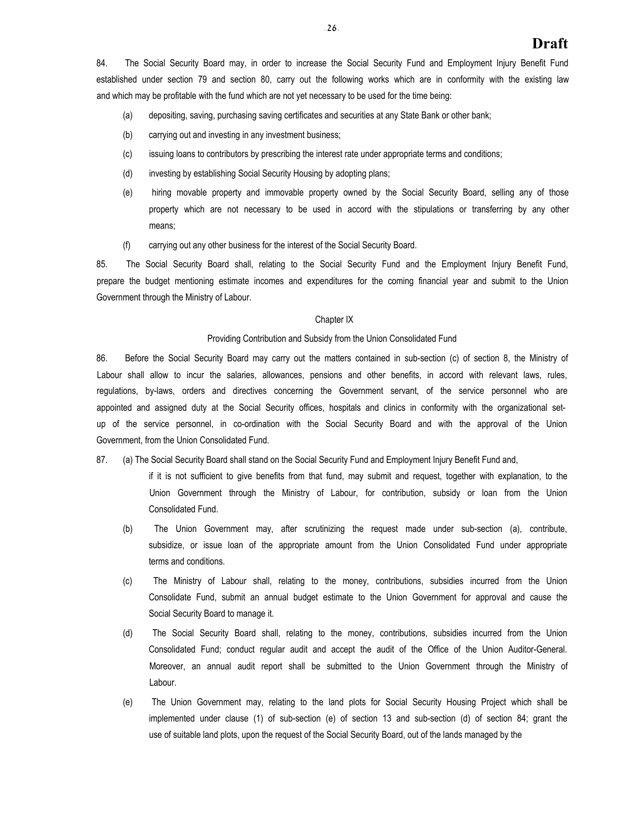84. The Social Security Board may, in order to increase the Social Security Fund and Employment Injury Benefit Fund established under section 79 and section 80, carry out the following works which are in conformity with the existing law and which may be profitable with the fund which are not yet necessary to be used for the time being:

- (a) depositing, saving, purchasing saving certificates and securities at any State Bank or other bank;
- (b) carrying out and investing in any investment business;
- (c) issuing loans to contributors by prescribing the interest rate under appropriate terms and conditions;
- (d) investing by establishing Social Security Housing by adopting plans;
- (e) hiring movable property and immovable property owned by the Social Security Board, selling any of those property which are not necessary to be used in accord with the stipulations or transferring by any other means;
- (f) carrying out any other business for the interest of the Social Security Board.

85. The Social Security Board shall, relating to the Social Security Fund and the Employment Injury Benefit Fund, prepare the budget mentioning estimate incomes and expenditures for the coming financial year and submit to the Union Government through the Ministry of Labour.

### Chapter IX

#### Providing Contribution and Subsidy from the Union Consolidated Fund

86. Before the Social Security Board may carry out the matters contained in sub-section (c) of section 8, the Ministry of Labour shall allow to incur the salaries, allowances, pensions and other benefits, in accord with relevant laws, rules, regulations, by-laws, orders and directives concerning the Government servant, of the service personnel who are appointed and assigned duty at the Social Security offices, hospitals and clinics in conformity with the organizational setup of the service personnel, in co-ordination with the Social Security Board and with the approval of the Union Government, from the Union Consolidated Fund.

87. (a) The Social Security Board shall stand on the Social Security Fund and Employment Injury Benefit Fund and,

if it is not sufficient to give benefits from that fund, may submit and request, together with explanation, to the Union Government through the Ministry of Labour, for contribution, subsidy or loan from the Union Consolidated Fund.

- (b) The Union Government may, after scrutinizing the request made under sub-section (a), contribute, subsidize, or issue loan of the appropriate amount from the Union Consolidated Fund under appropriate terms and conditions.
- (c) The Ministry of Labour shall, relating to the money, contributions, subsidies incurred from the Union Consolidate Fund, submit an annual budget estimate to the Union Government for approval and cause the Social Security Board to manage it.
- (d) The Social Security Board shall, relating to the money, contributions, subsidies incurred from the Union Consolidated Fund; conduct regular audit and accept the audit of the Office of the Union Auditor-General. Moreover, an annual audit report shall be submitted to the Union Government through the Ministry of Labour.
- (e) The Union Government may, relating to the land plots for Social Security Housing Project which shall be implemented under clause (1) of sub-section (e) of section 13 and sub-section (d) of section 84; grant the use of suitable land plots, upon the request of the Social Security Board, out of the lands managed by the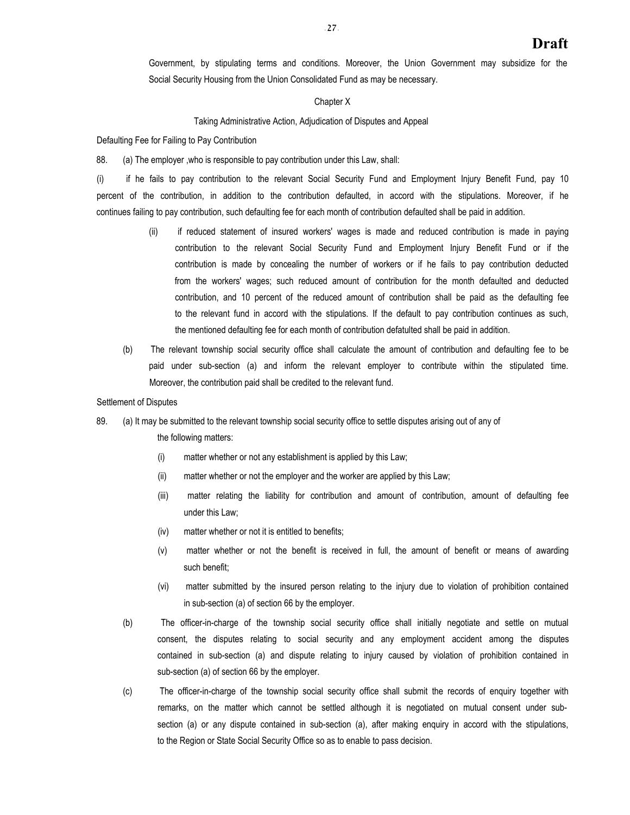Government, by stipulating terms and conditions. Moreover, the Union Government may subsidize for the Social Security Housing from the Union Consolidated Fund as may be necessary.

#### Chapter X

#### Taking Administrative Action, Adjudication of Disputes and Appeal

Defaulting Fee for Failing to Pay Contribution

88. (a) The employer ,who is responsible to pay contribution under this Law, shall:

(i) if he fails to pay contribution to the relevant Social Security Fund and Employment Injury Benefit Fund, pay 10 percent of the contribution, in addition to the contribution defaulted, in accord with the stipulations. Moreover, if he continues failing to pay contribution, such defaulting fee for each month of contribution defaulted shall be paid in addition.

- (ii) if reduced statement of insured workers' wages is made and reduced contribution is made in paying contribution to the relevant Social Security Fund and Employment Injury Benefit Fund or if the contribution is made by concealing the number of workers or if he fails to pay contribution deducted from the workers' wages; such reduced amount of contribution for the month defaulted and deducted contribution, and 10 percent of the reduced amount of contribution shall be paid as the defaulting fee to the relevant fund in accord with the stipulations. If the default to pay contribution continues as such, the mentioned defaulting fee for each month of contribution defatulted shall be paid in addition.
- (b) The relevant township social security office shall calculate the amount of contribution and defaulting fee to be paid under sub-section (a) and inform the relevant employer to contribute within the stipulated time. Moreover, the contribution paid shall be credited to the relevant fund.

#### Settlement of Disputes

### 89. (a) It may be submitted to the relevant township social security office to settle disputes arising out of any of

the following matters:

- (i) matter whether or not any establishment is applied by this Law;
- (ii) matter whether or not the employer and the worker are applied by this Law;
- (iii) matter relating the liability for contribution and amount of contribution, amount of defaulting fee under this Law;
- (iv) matter whether or not it is entitled to benefits;
- (v) matter whether or not the benefit is received in full, the amount of benefit or means of awarding such benefit;
- (vi) matter submitted by the insured person relating to the injury due to violation of prohibition contained in sub-section (a) of section 66 by the employer.
- (b) The officer-in-charge of the township social security office shall initially negotiate and settle on mutual consent, the disputes relating to social security and any employment accident among the disputes contained in sub-section (a) and dispute relating to injury caused by violation of prohibition contained in sub-section (a) of section 66 by the employer.
- (c) The officer-in-charge of the township social security office shall submit the records of enquiry together with remarks, on the matter which cannot be settled although it is negotiated on mutual consent under subsection (a) or any dispute contained in sub-section (a), after making enquiry in accord with the stipulations, to the Region or State Social Security Office so as to enable to pass decision.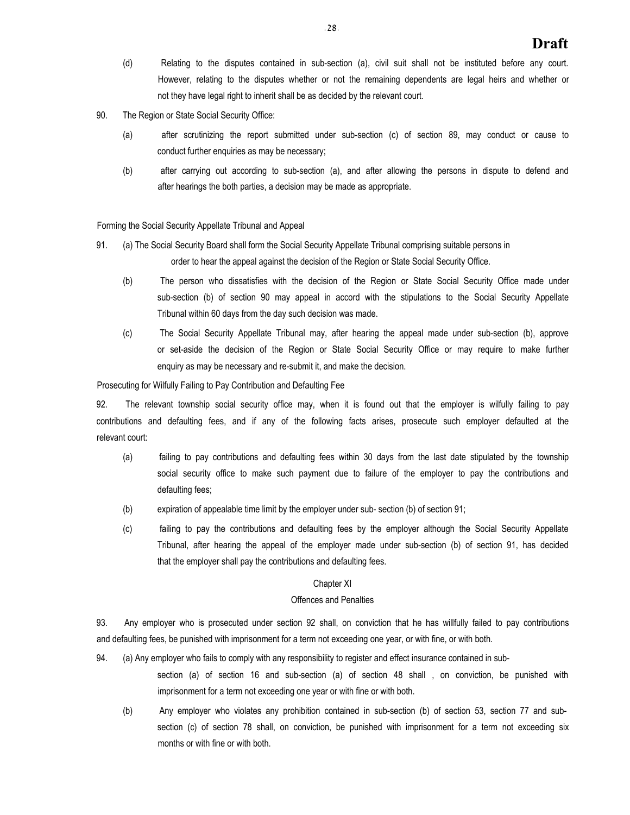- (d) Relating to the disputes contained in sub-section (a), civil suit shall not be instituted before any court. However, relating to the disputes whether or not the remaining dependents are legal heirs and whether or not they have legal right to inherit shall be as decided by the relevant court.
- 90. The Region or State Social Security Office:
	- (a) after scrutinizing the report submitted under sub-section (c) of section 89, may conduct or cause to conduct further enquiries as may be necessary;
	- (b) after carrying out according to sub-section (a), and after allowing the persons in dispute to defend and after hearings the both parties, a decision may be made as appropriate.

Forming the Social Security Appellate Tribunal and Appeal

- 91. (a) The Social Security Board shall form the Social Security Appellate Tribunal comprising suitable persons in order to hear the appeal against the decision of the Region or State Social Security Office.
	- (b) The person who dissatisfies with the decision of the Region or State Social Security Office made under sub-section (b) of section 90 may appeal in accord with the stipulations to the Social Security Appellate Tribunal within 60 days from the day such decision was made.
	- (c) The Social Security Appellate Tribunal may, after hearing the appeal made under sub-section (b), approve or set-aside the decision of the Region or State Social Security Office or may require to make further enquiry as may be necessary and re-submit it, and make the decision.

Prosecuting for Wilfully Failing to Pay Contribution and Defaulting Fee

92. The relevant township social security office may, when it is found out that the employer is wilfully failing to pay contributions and defaulting fees, and if any of the following facts arises, prosecute such employer defaulted at the relevant court:

- (a) failing to pay contributions and defaulting fees within 30 days from the last date stipulated by the township social security office to make such payment due to failure of the employer to pay the contributions and defaulting fees;
- (b) expiration of appealable time limit by the employer under sub- section (b) of section 91;
- (c) failing to pay the contributions and defaulting fees by the employer although the Social Security Appellate Tribunal, after hearing the appeal of the employer made under sub-section (b) of section 91, has decided that the employer shall pay the contributions and defaulting fees.

#### Chapter XI

#### Offences and Penalties

93. Any employer who is prosecuted under section 92 shall, on conviction that he has willfully failed to pay contributions and defaulting fees, be punished with imprisonment for a term not exceeding one year, or with fine, or with both.

94. (a) Any employer who fails to comply with any responsibility to register and effect insurance contained in sub-

section (a) of section 16 and sub-section (a) of section 48 shall , on conviction, be punished with imprisonment for a term not exceeding one year or with fine or with both.

(b) Any employer who violates any prohibition contained in sub-section (b) of section 53, section 77 and subsection (c) of section 78 shall, on conviction, be punished with imprisonment for a term not exceeding six months or with fine or with both.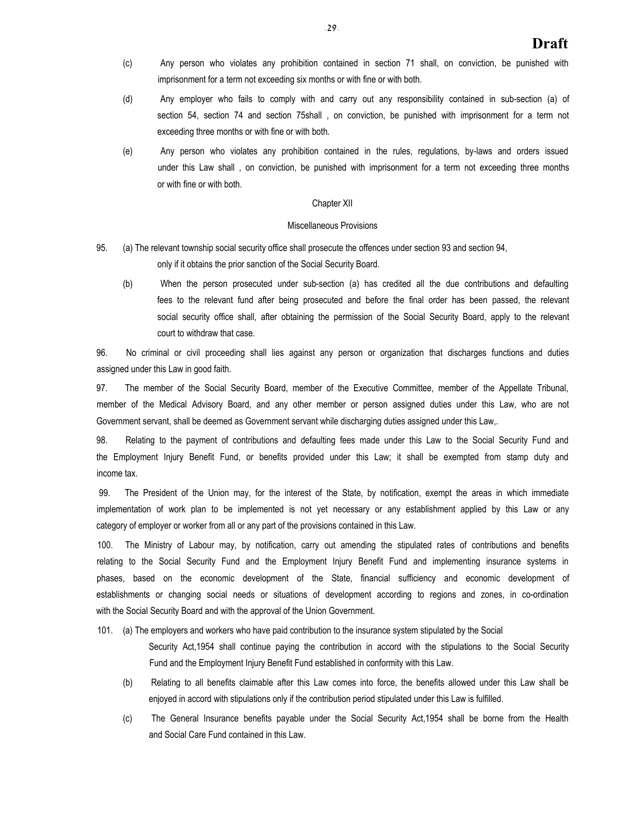- (c) Any person who violates any prohibition contained in section 71 shall, on conviction, be punished with imprisonment for a term not exceeding six months or with fine or with both.
- (d) Any employer who fails to comply with and carry out any responsibility contained in sub-section (a) of section 54, section 74 and section 75shall , on conviction, be punished with imprisonment for a term not exceeding three months or with fine or with both.
- (e) Any person who violates any prohibition contained in the rules, regulations, by-laws and orders issued under this Law shall , on conviction, be punished with imprisonment for a term not exceeding three months or with fine or with both.

#### Chapter XII

## Miscellaneous Provisions

- 95. (a) The relevant township social security office shall prosecute the offences under section 93 and section 94, only if it obtains the prior sanction of the Social Security Board.
	- (b) When the person prosecuted under sub-section (a) has credited all the due contributions and defaulting fees to the relevant fund after being prosecuted and before the final order has been passed, the relevant social security office shall, after obtaining the permission of the Social Security Board, apply to the relevant court to withdraw that case.

96. No criminal or civil proceeding shall lies against any person or organization that discharges functions and duties assigned under this Law in good faith.

97. The member of the Social Security Board, member of the Executive Committee, member of the Appellate Tribunal, member of the Medical Advisory Board, and any other member or person assigned duties under this Law, who are not Government servant, shall be deemed as Government servant while discharging duties assigned under this Law,.

98. Relating to the payment of contributions and defaulting fees made under this Law to the Social Security Fund and the Employment Injury Benefit Fund, or benefits provided under this Law; it shall be exempted from stamp duty and income tax.

99. The President of the Union may, for the interest of the State, by notification, exempt the areas in which immediate implementation of work plan to be implemented is not yet necessary or any establishment applied by this Law or any category of employer or worker from all or any part of the provisions contained in this Law.

100. The Ministry of Labour may, by notification, carry out amending the stipulated rates of contributions and benefits relating to the Social Security Fund and the Employment Injury Benefit Fund and implementing insurance systems in phases, based on the economic development of the State, financial sufficiency and economic development of establishments or changing social needs or situations of development according to regions and zones, in co-ordination with the Social Security Board and with the approval of the Union Government.

101. (a) The employers and workers who have paid contribution to the insurance system stipulated by the Social

Security Act,1954 shall continue paying the contribution in accord with the stipulations to the Social Security Fund and the Employment Injury Benefit Fund established in conformity with this Law.

- (b) Relating to all benefits claimable after this Law comes into force, the benefits allowed under this Law shall be enjoyed in accord with stipulations only if the contribution period stipulated under this Law is fulfilled.
- (c) The General Insurance benefits payable under the Social Security Act,1954 shall be borne from the Health and Social Care Fund contained in this Law.